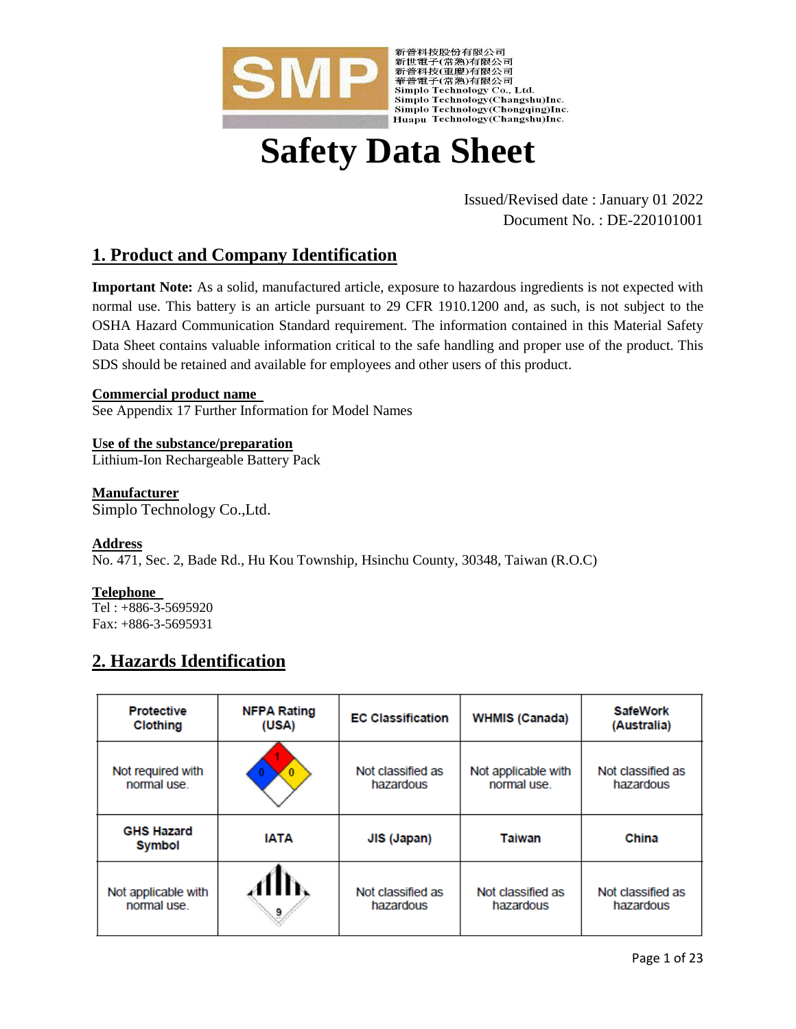

Simplo Technology(Chongqing)Inc.

# **Safety Data Sheet**

Issued/Revised date : January 01 2022 Document No. : DE-220101001

# **1. Product and Company Identification**

**Important Note:** As a solid, manufactured article, exposure to hazardous ingredients is not expected with normal use. This battery is an article pursuant to 29 CFR 1910.1200 and, as such, is not subject to the OSHA Hazard Communication Standard requirement. The information contained in this Material Safety Data Sheet contains valuable information critical to the safe handling and proper use of the product. This SDS should be retained and available for employees and other users of this product.

## **Commercial product name**

See Appendix 17 Further Information for Model Names

**Use of the substance/preparation** Lithium-Ion Rechargeable Battery Pack

# **Manufacturer**

Simplo Technology Co.,Ltd.

# **Address**

No. 471, Sec. 2, Bade Rd., Hu Kou Township, Hsinchu County, 30348, Taiwan (R.O.C)

# **Telephone**

Tel : +886-3-5695920 Fax: +886-3-5695931

# **2. Hazards Identification**

| <b>Protective</b><br>Clothing      | <b>NFPA Rating</b><br>(USA) | <b>EC Classification</b> | <b>WHMIS (Canada)</b> | <b>SafeWork</b><br>(Australia) |
|------------------------------------|-----------------------------|--------------------------|-----------------------|--------------------------------|
| Not required with                  |                             | Not classified as        | Not applicable with   | Not classified as              |
| normal use                         |                             | hazardous                | normal use.           | hazardous                      |
| <b>GHS Hazard</b><br><b>Symbol</b> | <b>IATA</b>                 | JIS (Japan)              | <b>Taiwan</b>         | China                          |
| Not applicable with                | 9                           | Not classified as        | Not classified as     | Not classified as              |
| normal use.                        |                             | hazardous                | hazardous             | hazardous                      |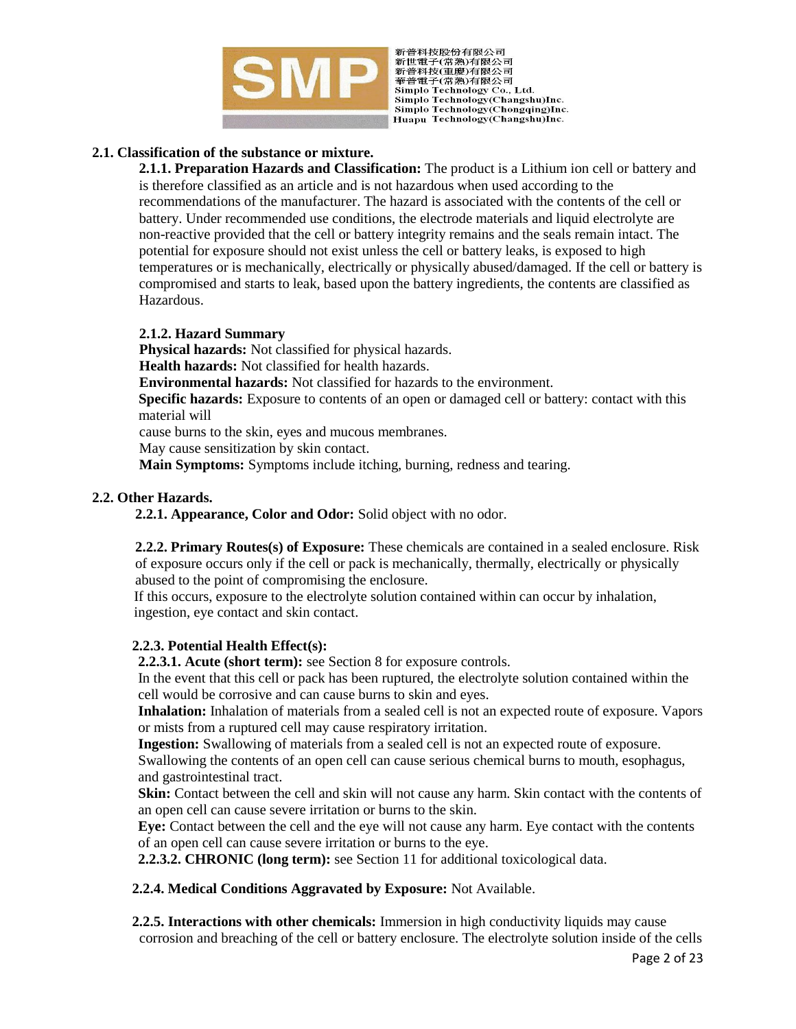

新普科技股份有限公司 "新世電子(常熟)有限公司<br>新普科技(重慶)有限公司<br>華普電子(常熟)有限公司 Simplo Technology Co., Ltd. Simplo Technology(Changshu)Inc. Simplo Technology(Chongqing)Inc. Huapu Technology(Changshu)Inc.

## **2.1. Classification of the substance or mixture.**

**2.1.1. Preparation Hazards and Classification:** The product is a Lithium ion cell or battery and is therefore classified as an article and is not hazardous when used according to the recommendations of the manufacturer. The hazard is associated with the contents of the cell or battery. Under recommended use conditions, the electrode materials and liquid electrolyte are non-reactive provided that the cell or battery integrity remains and the seals remain intact. The potential for exposure should not exist unless the cell or battery leaks, is exposed to high temperatures or is mechanically, electrically or physically abused/damaged. If the cell or battery is compromised and starts to leak, based upon the battery ingredients, the contents are classified as Hazardous.

## **2.1.2. Hazard Summary**

**Physical hazards:** Not classified for physical hazards. **Health hazards:** Not classified for health hazards.

**Environmental hazards:** Not classified for hazards to the environment.

**Specific hazards:** Exposure to contents of an open or damaged cell or battery: contact with this material will

cause burns to the skin, eyes and mucous membranes.

May cause sensitization by skin contact.

**Main Symptoms:** Symptoms include itching, burning, redness and tearing.

## **2.2. Other Hazards.**

 **2.2.1. Appearance, Color and Odor:** Solid object with no odor.

 **2.2.2. Primary Routes(s) of Exposure:** These chemicals are contained in a sealed enclosure. Risk of exposure occurs only if the cell or pack is mechanically, thermally, electrically or physically abused to the point of compromising the enclosure.

If this occurs, exposure to the electrolyte solution contained within can occur by inhalation, ingestion, eye contact and skin contact.

# **2.2.3. Potential Health Effect(s):**

**2.2.3.1. Acute (short term):** see Section 8 for exposure controls.

In the event that this cell or pack has been ruptured, the electrolyte solution contained within the cell would be corrosive and can cause burns to skin and eyes.

**Inhalation:** Inhalation of materials from a sealed cell is not an expected route of exposure. Vapors or mists from a ruptured cell may cause respiratory irritation.

**Ingestion:** Swallowing of materials from a sealed cell is not an expected route of exposure. Swallowing the contents of an open cell can cause serious chemical burns to mouth, esophagus,

and gastrointestinal tract.

**Skin:** Contact between the cell and skin will not cause any harm. Skin contact with the contents of an open cell can cause severe irritation or burns to the skin.

**Eye:** Contact between the cell and the eye will not cause any harm. Eye contact with the contents of an open cell can cause severe irritation or burns to the eye.

**2.2.3.2. CHRONIC (long term):** see Section 11 for additional toxicological data.

 **2.2.4. Medical Conditions Aggravated by Exposure:** Not Available.

 **2.2.5. Interactions with other chemicals:** Immersion in high conductivity liquids may cause corrosion and breaching of the cell or battery enclosure. The electrolyte solution inside of the cells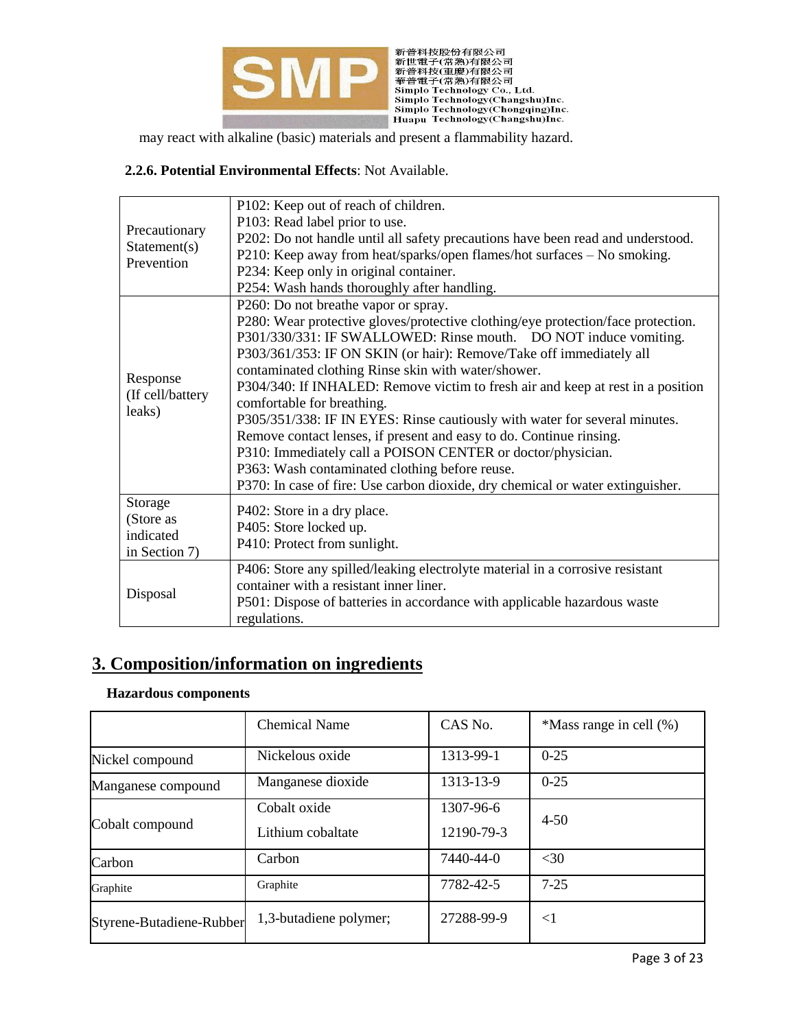

# **2.2.6. Potential Environmental Effects**: Not Available.

|                            | P102: Keep out of reach of children.                                             |
|----------------------------|----------------------------------------------------------------------------------|
|                            | P103: Read label prior to use.                                                   |
| Precautionary              | P202: Do not handle until all safety precautions have been read and understood.  |
| Statement(s)<br>Prevention | P210: Keep away from heat/sparks/open flames/hot surfaces - No smoking.          |
|                            | P234: Keep only in original container.                                           |
|                            | P254: Wash hands thoroughly after handling.                                      |
|                            | P260: Do not breathe vapor or spray.                                             |
|                            | P280: Wear protective gloves/protective clothing/eye protection/face protection. |
|                            | P301/330/331: IF SWALLOWED: Rinse mouth. DO NOT induce vomiting.                 |
|                            | P303/361/353: IF ON SKIN (or hair): Remove/Take off immediately all              |
| Response                   | contaminated clothing Rinse skin with water/shower.                              |
| (If cell/battery           | P304/340: If INHALED: Remove victim to fresh air and keep at rest in a position  |
| leaks)                     | comfortable for breathing.                                                       |
|                            | P305/351/338: IF IN EYES: Rinse cautiously with water for several minutes.       |
|                            | Remove contact lenses, if present and easy to do. Continue rinsing.              |
|                            | P310: Immediately call a POISON CENTER or doctor/physician.                      |
|                            | P363: Wash contaminated clothing before reuse.                                   |
|                            | P370: In case of fire: Use carbon dioxide, dry chemical or water extinguisher.   |
| Storage                    | P402: Store in a dry place.                                                      |
| (Store as                  | P405: Store locked up.                                                           |
| indicated                  | P410: Protect from sunlight.                                                     |
| in Section 7)              |                                                                                  |
|                            | P406: Store any spilled/leaking electrolyte material in a corrosive resistant    |
| Disposal                   | container with a resistant inner liner.                                          |
|                            | P501: Dispose of batteries in accordance with applicable hazardous waste         |
|                            | regulations.                                                                     |

# **3. Composition/information on ingredients**

#### **Hazardous components**

|                          | Chemical Name                     | CAS No.                 | *Mass range in cell (%) |
|--------------------------|-----------------------------------|-------------------------|-------------------------|
| Nickel compound          | Nickelous oxide                   | 1313-99-1               | $0 - 25$                |
| Manganese compound       | Manganese dioxide                 | 1313-13-9               | $0 - 25$                |
| Cobalt compound          | Cobalt oxide<br>Lithium cobaltate | 1307-96-6<br>12190-79-3 | $4 - 50$                |
| Carbon                   | Carbon                            | 7440-44-0               | $<$ 30                  |
| Graphite                 | Graphite                          | 7782-42-5               | $7 - 25$                |
| Styrene-Butadiene-Rubber | 1,3-butadiene polymer;            | 27288-99-9              | $<$ 1                   |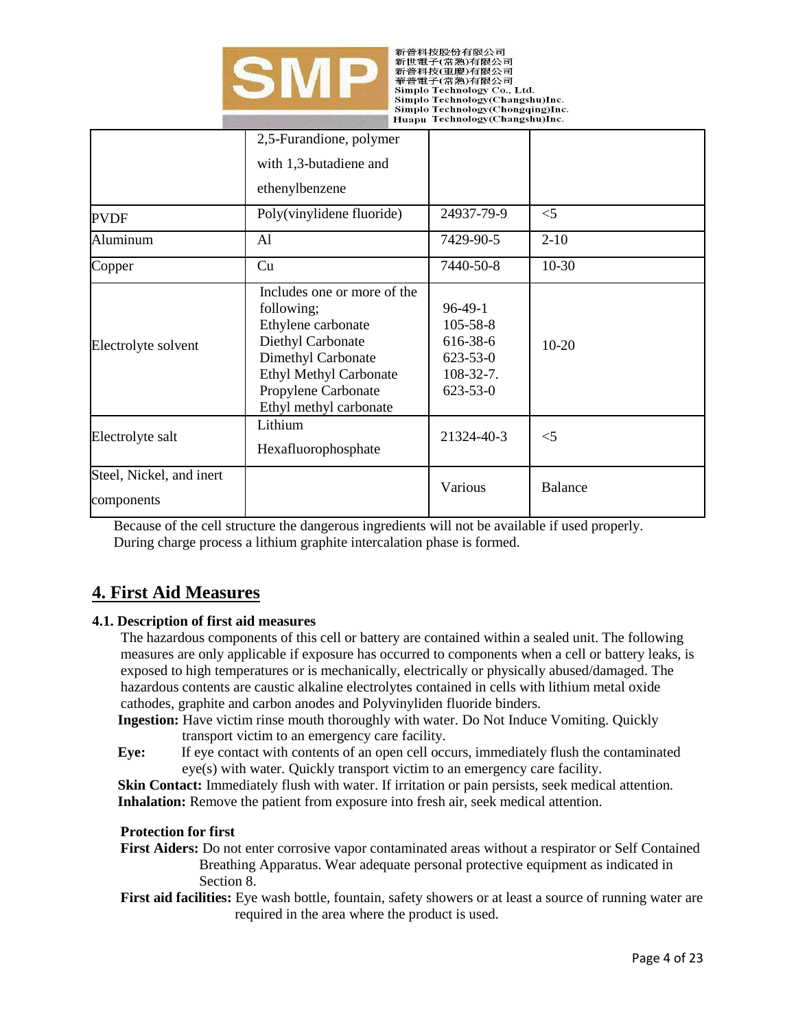

新普科技股份有限公司 \* 新世電子(常熟)有限公司<br>新普科技(重慶)有限公司<br>華普電子(常熟)有限公司 Simplo Technology Co., Ltd. Simplo Technology(Changshu)Inc. Simplo Technology(Chongqing)Inc. Huapu Technology(Changshu)Inc.

|                                        | 2,5-Furandione, polymer                                                                                                                                                                      |                                                                                          |                |
|----------------------------------------|----------------------------------------------------------------------------------------------------------------------------------------------------------------------------------------------|------------------------------------------------------------------------------------------|----------------|
|                                        | with 1,3-butadiene and                                                                                                                                                                       |                                                                                          |                |
|                                        | ethenylbenzene                                                                                                                                                                               |                                                                                          |                |
| <b>PVDF</b>                            | Poly(vinylidene fluoride)                                                                                                                                                                    | 24937-79-9                                                                               | $<$ 5          |
| Aluminum                               | Al                                                                                                                                                                                           | 7429-90-5                                                                                | $2 - 10$       |
| Copper                                 | Cu                                                                                                                                                                                           | 7440-50-8                                                                                | $10-30$        |
| Electrolyte solvent                    | Includes one or more of the<br>following;<br>Ethylene carbonate<br>Diethyl Carbonate<br>Dimethyl Carbonate<br><b>Ethyl Methyl Carbonate</b><br>Propylene Carbonate<br>Ethyl methyl carbonate | $96-49-1$<br>$105 - 58 - 8$<br>616-38-6<br>$623 - 53 - 0$<br>108-32-7.<br>$623 - 53 - 0$ | $10-20$        |
| Electrolyte salt                       | Lithium<br>Hexafluorophosphate                                                                                                                                                               | 21324-40-3                                                                               | $<$ 5          |
| Steel, Nickel, and inert<br>components |                                                                                                                                                                                              | Various                                                                                  | <b>Balance</b> |

 Because of the cell structure the dangerous ingredients will not be available if used properly. During charge process a lithium graphite intercalation phase is formed.

# **4. First Aid Measures**

# **4.1. Description of first aid measures**

The hazardous components of this cell or battery are contained within a sealed unit. The following measures are only applicable if exposure has occurred to components when a cell or battery leaks, is exposed to high temperatures or is mechanically, electrically or physically abused/damaged. The hazardous contents are caustic alkaline electrolytes contained in cells with lithium metal oxide cathodes, graphite and carbon anodes and Polyvinyliden fluoride binders.

**Ingestion:** Have victim rinse mouth thoroughly with water. Do Not Induce Vomiting. Quickly transport victim to an emergency care facility.

**Eye:** If eye contact with contents of an open cell occurs, immediately flush the contaminated eye(s) with water. Quickly transport victim to an emergency care facility.

**Skin Contact:** Immediately flush with water. If irritation or pain persists, seek medical attention. **Inhalation:** Remove the patient from exposure into fresh air, seek medical attention.

#### **Protection for first**

**First Aiders:** Do not enter corrosive vapor contaminated areas without a respirator or Self Contained Breathing Apparatus. Wear adequate personal protective equipment as indicated in Section 8.

**First aid facilities:** Eye wash bottle, fountain, safety showers or at least a source of running water are required in the area where the product is used.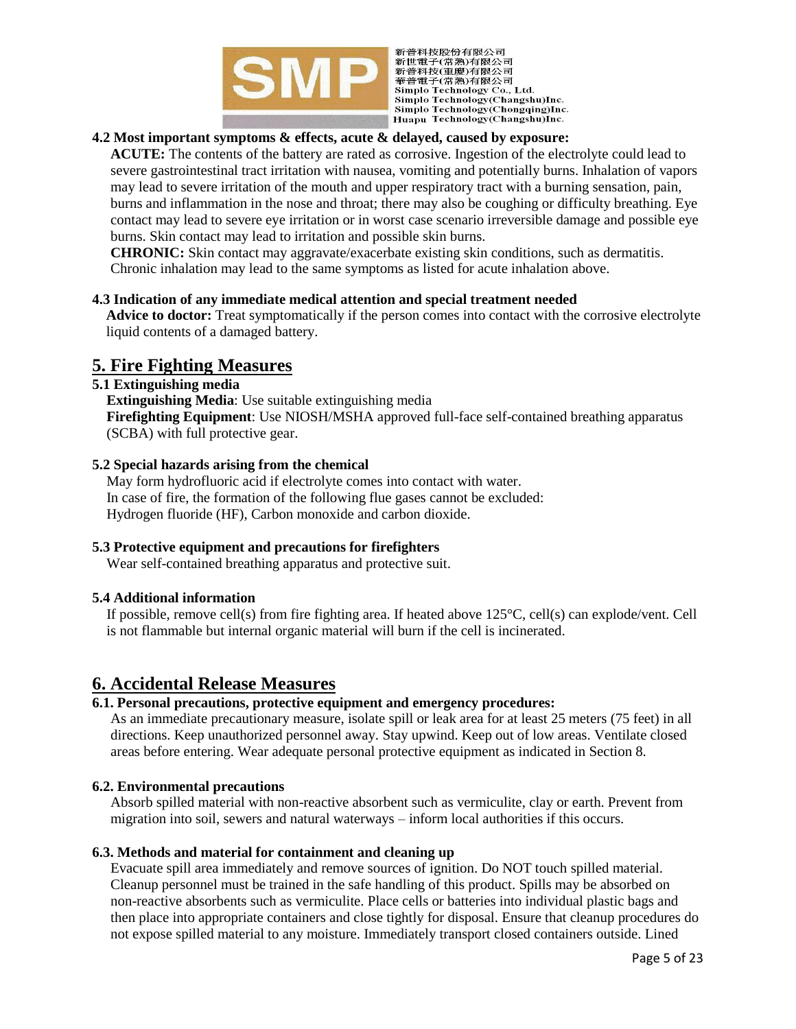

新普科技股份有限公司 "新世電子(常熟)有限公司<br>新普科技(重慶)有限公司<br>華普電子(常熟)有限公司 Simplo Technology Co., Ltd. Simplo Technology(Changshu)Inc. Simplo Technology(Chongqing)Inc. Huapu Technology(Changshu)Inc.

# **4.2 Most important symptoms & effects, acute & delayed, caused by exposure:**

**ACUTE:** The contents of the battery are rated as corrosive. Ingestion of the electrolyte could lead to severe gastrointestinal tract irritation with nausea, vomiting and potentially burns. Inhalation of vapors may lead to severe irritation of the mouth and upper respiratory tract with a burning sensation, pain, burns and inflammation in the nose and throat; there may also be coughing or difficulty breathing. Eye contact may lead to severe eye irritation or in worst case scenario irreversible damage and possible eye burns. Skin contact may lead to irritation and possible skin burns.

**CHRONIC:** Skin contact may aggravate/exacerbate existing skin conditions, such as dermatitis. Chronic inhalation may lead to the same symptoms as listed for acute inhalation above.

#### **4.3 Indication of any immediate medical attention and special treatment needed**

**Advice to doctor:** Treat symptomatically if the person comes into contact with the corrosive electrolyte liquid contents of a damaged battery.

# **5. Fire Fighting Measures**

#### **5.1 Extinguishing media**

**Extinguishing Media**: Use suitable extinguishing media **Firefighting Equipment**: Use NIOSH/MSHA approved full-face self-contained breathing apparatus (SCBA) with full protective gear.

#### **5.2 Special hazards arising from the chemical**

May form hydrofluoric acid if electrolyte comes into contact with water. In case of fire, the formation of the following flue gases cannot be excluded: Hydrogen fluoride (HF), Carbon monoxide and carbon dioxide.

#### **5.3 Protective equipment and precautions for firefighters**

Wear self-contained breathing apparatus and protective suit.

#### **5.4 Additional information**

If possible, remove cell(s) from fire fighting area. If heated above 125°C, cell(s) can explode/vent. Cell is not flammable but internal organic material will burn if the cell is incinerated.

# **6. Accidental Release Measures**

## **6.1. Personal precautions, protective equipment and emergency procedures:**

As an immediate precautionary measure, isolate spill or leak area for at least 25 meters (75 feet) in all directions. Keep unauthorized personnel away. Stay upwind. Keep out of low areas. Ventilate closed areas before entering. Wear adequate personal protective equipment as indicated in Section 8.

#### **6.2. Environmental precautions**

Absorb spilled material with non-reactive absorbent such as vermiculite, clay or earth. Prevent from migration into soil, sewers and natural waterways – inform local authorities if this occurs.

#### **6.3. Methods and material for containment and cleaning up**

Evacuate spill area immediately and remove sources of ignition. Do NOT touch spilled material. Cleanup personnel must be trained in the safe handling of this product. Spills may be absorbed on non-reactive absorbents such as vermiculite. Place cells or batteries into individual plastic bags and then place into appropriate containers and close tightly for disposal. Ensure that cleanup procedures do not expose spilled material to any moisture. Immediately transport closed containers outside. Lined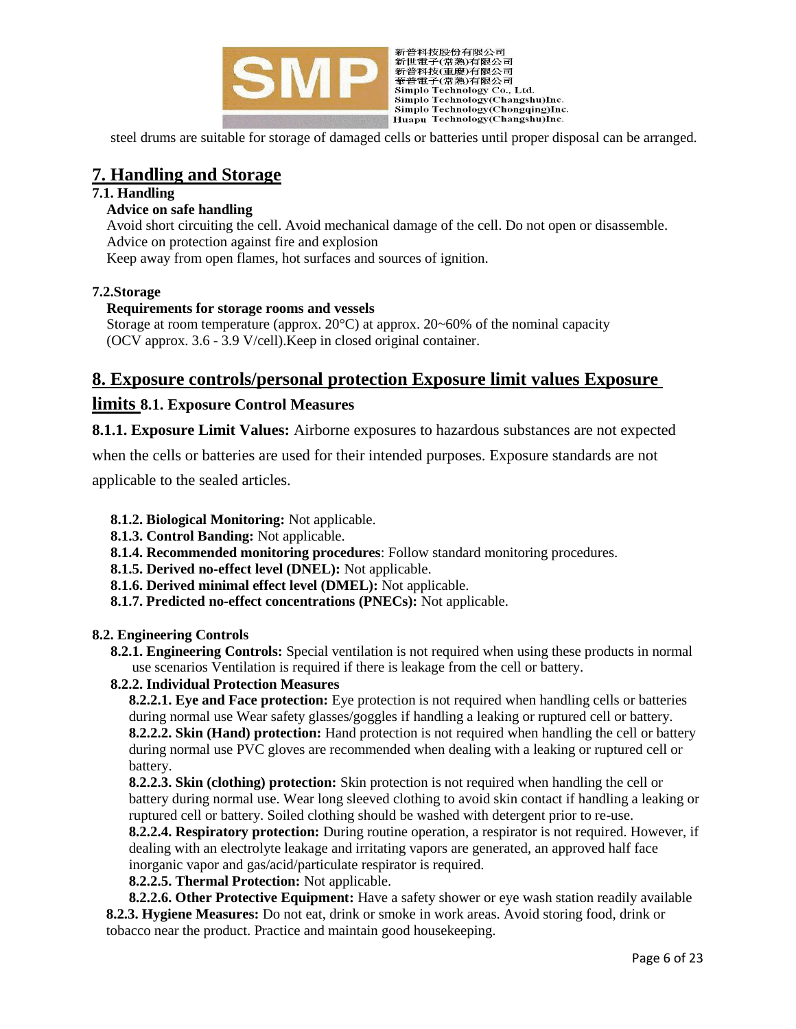

新普科技股份有限公司 新旨行後必何的有限公司<br>新普督科技(重慶)有限公司<br>華普電子(常熟)有限公司<br>華普電子(常熟)有限公司<br>Simplo Technology Co., Ltd. Simplo Technology(Changshu)Inc. Simplo Technology(Chongqing)Inc. Huapu Technology(Changshu)Inc.

steel drums are suitable for storage of damaged cells or batteries until proper disposal can be arranged.

# **7. Handling and Storage**

## **7.1. Handling**

## **Advice on safe handling**

Avoid short circuiting the cell. Avoid mechanical damage of the cell. Do not open or disassemble. Advice on protection against fire and explosion

Keep away from open flames, hot surfaces and sources of ignition.

## **7.2.Storage**

## **Requirements for storage rooms and vessels**

Storage at room temperature (approx.  $20^{\circ}$ C) at approx.  $20^{\circ}$ 60% of the nominal capacity (OCV approx. 3.6 - 3.9 V/cell).Keep in closed original container.

# **8. Exposure controls/personal protection Exposure limit values Exposure**

# **limits 8.1. Exposure Control Measures**

**8.1.1. Exposure Limit Values:** Airborne exposures to hazardous substances are not expected

when the cells or batteries are used for their intended purposes. Exposure standards are not

applicable to the sealed articles.

- **8.1.2. Biological Monitoring:** Not applicable.
- **8.1.3. Control Banding:** Not applicable.
- **8.1.4. Recommended monitoring procedures**: Follow standard monitoring procedures.
- **8.1.5. Derived no-effect level (DNEL):** Not applicable.
- **8.1.6. Derived minimal effect level (DMEL):** Not applicable.
- **8.1.7. Predicted no-effect concentrations (PNECs):** Not applicable.

#### **8.2. Engineering Controls**

**8.2.1. Engineering Controls:** Special ventilation is not required when using these products in normal use scenarios Ventilation is required if there is leakage from the cell or battery.

#### **8.2.2. Individual Protection Measures**

**8.2.2.1. Eye and Face protection:** Eye protection is not required when handling cells or batteries during normal use Wear safety glasses/goggles if handling a leaking or ruptured cell or battery. **8.2.2.2. Skin (Hand) protection:** Hand protection is not required when handling the cell or battery during normal use PVC gloves are recommended when dealing with a leaking or ruptured cell or battery.

**8.2.2.3. Skin (clothing) protection:** Skin protection is not required when handling the cell or battery during normal use. Wear long sleeved clothing to avoid skin contact if handling a leaking or ruptured cell or battery. Soiled clothing should be washed with detergent prior to re-use.

**8.2.2.4. Respiratory protection:** During routine operation, a respirator is not required. However, if dealing with an electrolyte leakage and irritating vapors are generated, an approved half face inorganic vapor and gas/acid/particulate respirator is required.

**8.2.2.5. Thermal Protection:** Not applicable.

**8.2.2.6. Other Protective Equipment:** Have a safety shower or eye wash station readily available **8.2.3. Hygiene Measures:** Do not eat, drink or smoke in work areas. Avoid storing food, drink or tobacco near the product. Practice and maintain good housekeeping.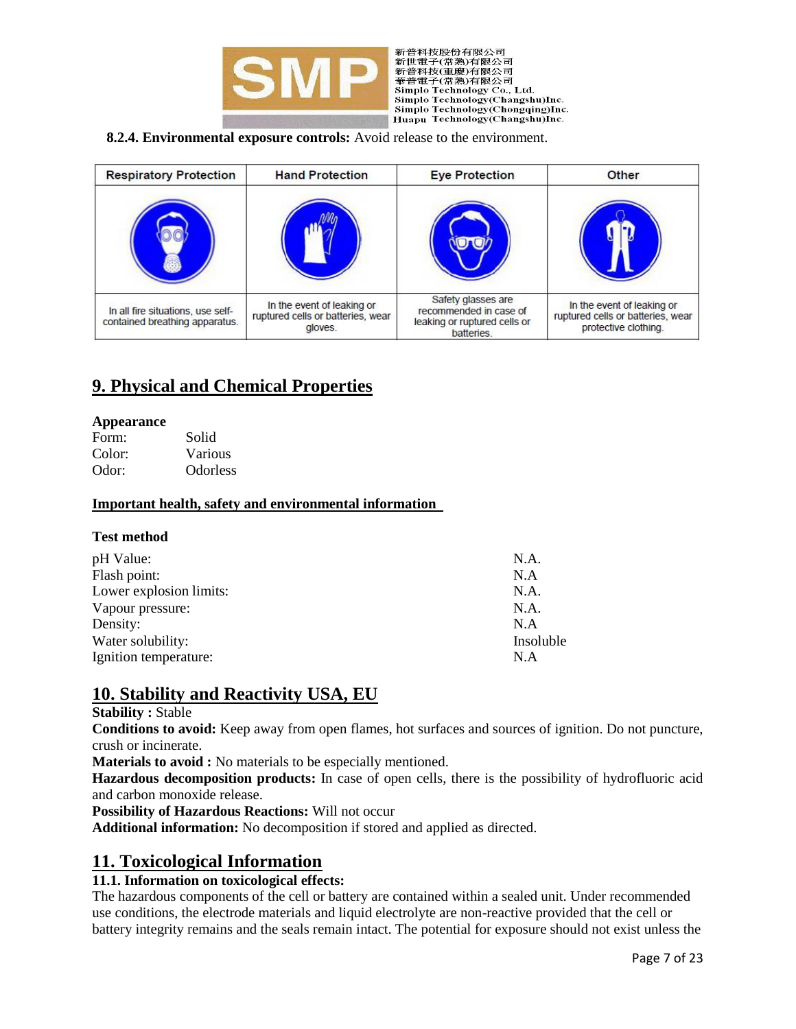

新普科技股份有限公司 新旨行後の内閣法会<br>新世電子(常熟)有限公司<br>新普科技(重慶)有限公司<br>華普電子(常熟)有限公司<br>Simplo Technology Co., Ltd. Simplo Technology(Changshu)Inc. Simplo Technology(Chongqing)Inc. Huapu Technology(Changshu)Inc.

**8.2.4. Environmental exposure controls:** Avoid release to the environment.

| <b>Respiratory Protection</b>                                       | <b>Hand Protection</b>                                                     | <b>Eye Protection</b>                                                                      | <b>Other</b>                                                                            |
|---------------------------------------------------------------------|----------------------------------------------------------------------------|--------------------------------------------------------------------------------------------|-----------------------------------------------------------------------------------------|
|                                                                     |                                                                            |                                                                                            |                                                                                         |
| In all fire situations, use self-<br>contained breathing apparatus. | In the event of leaking or<br>ruptured cells or batteries, wear<br>gloves. | Safety glasses are<br>recommended in case of<br>leaking or ruptured cells or<br>batteries. | In the event of leaking or<br>ruptured cells or batteries, wear<br>protective clothing. |

# **9. Physical and Chemical Properties**

#### **Appearance**

| Form:  | Solid           |
|--------|-----------------|
| Color: | Various         |
| Odor:  | <b>Odorless</b> |

#### **Important health, safety and environmental information**

#### **Test method**

| pH Value:               | N.A.      |
|-------------------------|-----------|
| Flash point:            | N.A       |
| Lower explosion limits: | N.A.      |
| Vapour pressure:        | N.A.      |
| Density:                | N.A       |
| Water solubility:       | Insoluble |
| Ignition temperature:   | N.A       |

# **10. Stability and Reactivity USA, EU**

#### **Stability :** Stable

**Conditions to avoid:** Keep away from open flames, hot surfaces and sources of ignition. Do not puncture, crush or incinerate.

**Materials to avoid :** No materials to be especially mentioned.

**Hazardous decomposition products:** In case of open cells, there is the possibility of hydrofluoric acid and carbon monoxide release.

**Possibility of Hazardous Reactions:** Will not occur

**Additional information:** No decomposition if stored and applied as directed.

# **11. Toxicological Information**

#### **11.1. Information on toxicological effects:**

The hazardous components of the cell or battery are contained within a sealed unit. Under recommended use conditions, the electrode materials and liquid electrolyte are non-reactive provided that the cell or battery integrity remains and the seals remain intact. The potential for exposure should not exist unless the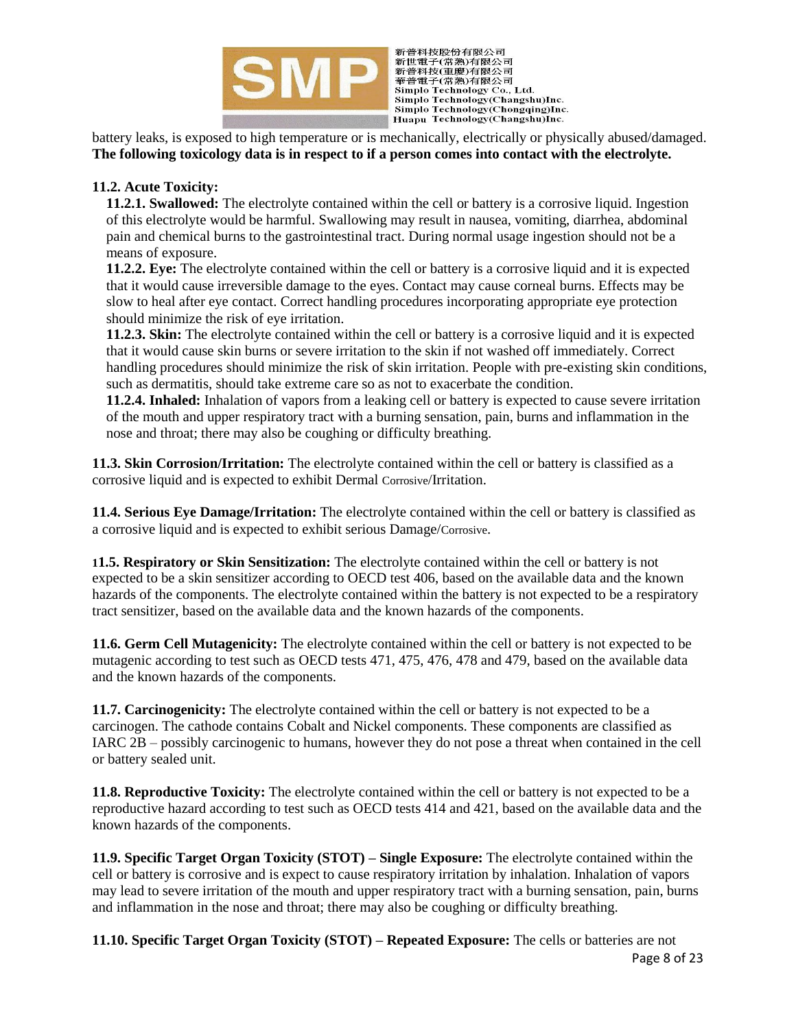

新普科技股份有限公司 新旨行後必何的有限公司<br>新普督科技(重慶)有限公司<br>華普電子(常熟)有限公司<br>華普電子(常熟)有限公司<br>Simplo Technology Co., Ltd. Simplo Technology(Changshu)Inc. Simplo Technology(Chongqing)Inc. Huapu Technology(Changshu)Inc.

battery leaks, is exposed to high temperature or is mechanically, electrically or physically abused/damaged. **The following toxicology data is in respect to if a person comes into contact with the electrolyte.**

# **11.2. Acute Toxicity:**

**11.2.1. Swallowed:** The electrolyte contained within the cell or battery is a corrosive liquid. Ingestion of this electrolyte would be harmful. Swallowing may result in nausea, vomiting, diarrhea, abdominal pain and chemical burns to the gastrointestinal tract. During normal usage ingestion should not be a means of exposure.

**11.2.2. Eye:** The electrolyte contained within the cell or battery is a corrosive liquid and it is expected that it would cause irreversible damage to the eyes. Contact may cause corneal burns. Effects may be slow to heal after eye contact. Correct handling procedures incorporating appropriate eye protection should minimize the risk of eye irritation.

**11.2.3. Skin:** The electrolyte contained within the cell or battery is a corrosive liquid and it is expected that it would cause skin burns or severe irritation to the skin if not washed off immediately. Correct handling procedures should minimize the risk of skin irritation. People with pre-existing skin conditions, such as dermatitis, should take extreme care so as not to exacerbate the condition.

**11.2.4. Inhaled:** Inhalation of vapors from a leaking cell or battery is expected to cause severe irritation of the mouth and upper respiratory tract with a burning sensation, pain, burns and inflammation in the nose and throat; there may also be coughing or difficulty breathing.

**11.3. Skin Corrosion/Irritation:** The electrolyte contained within the cell or battery is classified as a corrosive liquid and is expected to exhibit Dermal Corrosive/Irritation.

**11.4. Serious Eye Damage/Irritation:** The electrolyte contained within the cell or battery is classified as a corrosive liquid and is expected to exhibit serious Damage/Corrosive.

**11.5. Respiratory or Skin Sensitization:** The electrolyte contained within the cell or battery is not expected to be a skin sensitizer according to OECD test 406, based on the available data and the known hazards of the components. The electrolyte contained within the battery is not expected to be a respiratory tract sensitizer, based on the available data and the known hazards of the components.

**11.6. Germ Cell Mutagenicity:** The electrolyte contained within the cell or battery is not expected to be mutagenic according to test such as OECD tests 471, 475, 476, 478 and 479, based on the available data and the known hazards of the components.

**11.7. Carcinogenicity:** The electrolyte contained within the cell or battery is not expected to be a carcinogen. The cathode contains Cobalt and Nickel components. These components are classified as IARC 2B – possibly carcinogenic to humans, however they do not pose a threat when contained in the cell or battery sealed unit.

**11.8. Reproductive Toxicity:** The electrolyte contained within the cell or battery is not expected to be a reproductive hazard according to test such as OECD tests 414 and 421, based on the available data and the known hazards of the components.

**11.9. Specific Target Organ Toxicity (STOT) – Single Exposure:** The electrolyte contained within the cell or battery is corrosive and is expect to cause respiratory irritation by inhalation. Inhalation of vapors may lead to severe irritation of the mouth and upper respiratory tract with a burning sensation, pain, burns and inflammation in the nose and throat; there may also be coughing or difficulty breathing.

Page 8 of 23 **11.10. Specific Target Organ Toxicity (STOT) – Repeated Exposure:** The cells or batteries are not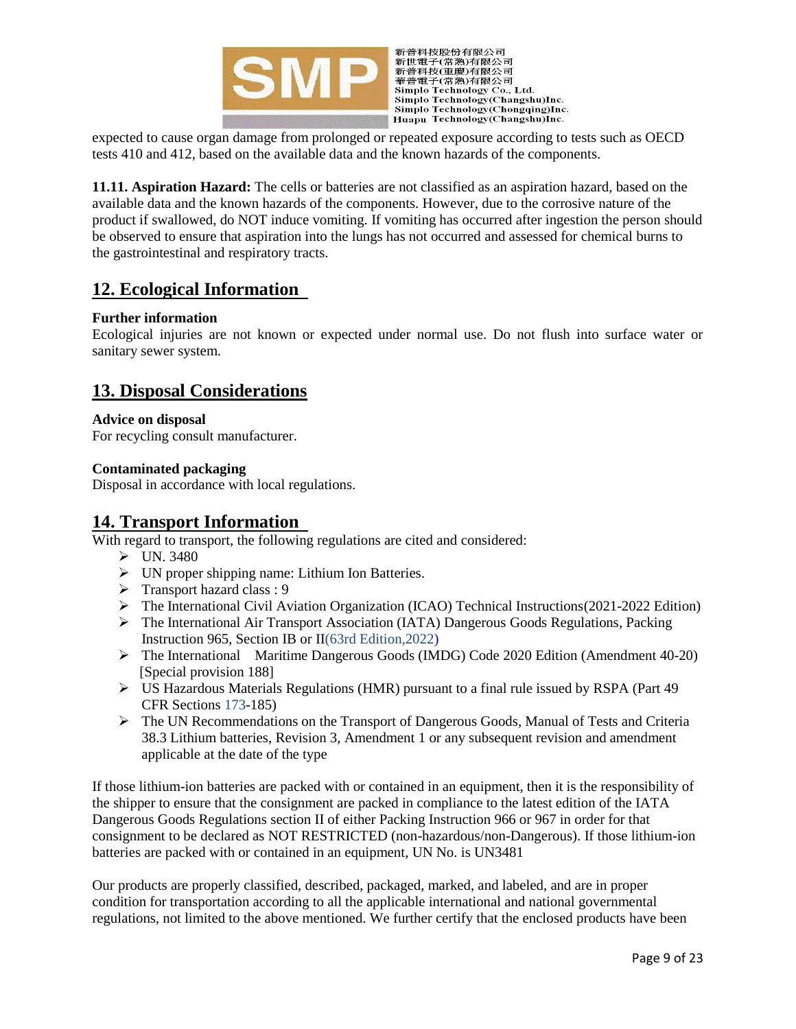



expected to cause organ damage from prolonged or repeated exposure according to tests such as OECD tests 410 and 412, based on the available data and the known hazards of the components.

**11.11. Aspiration Hazard:** The cells or batteries are not classified as an aspiration hazard, based on the available data and the known hazards of the components. However, due to the corrosive nature of the product if swallowed, do NOT induce vomiting. If vomiting has occurred after ingestion the person should be observed to ensure that aspiration into the lungs has not occurred and assessed for chemical burns to the gastrointestinal and respiratory tracts.

# **12. Ecological Information**

## **Further information**

Ecological injuries are not known or expected under normal use. Do not flush into surface water or sanitary sewer system.

# **13. Disposal Considerations**

## **Advice on disposal**

For recycling consult manufacturer.

## **Contaminated packaging**

Disposal in accordance with local regulations.

# **14. Transport Information**

With regard to transport, the following regulations are cited and considered:

- $\triangleright$  UN. 3480
- UN proper shipping name: Lithium Ion Batteries.
- $\triangleright$  Transport hazard class : 9
- $\triangleright$  The International Civil Aviation Organization (ICAO) Technical Instructions(2021-2022 Edition)
- The International Air Transport Association (IATA) Dangerous Goods Regulations, Packing Instruction 965, Section IB or II(63rd Edition,2022)
- The International Maritime Dangerous Goods (IMDG) Code 2020 Edition (Amendment 40-20) [Special provision 188]
- $\triangleright$  US Hazardous Materials Regulations (HMR) pursuant to a final rule issued by RSPA (Part 49) CFR Sections 173-185)
- The UN Recommendations on the Transport of Dangerous Goods, Manual of Tests and Criteria 38.3 Lithium batteries, Revision 3, Amendment 1 or any subsequent revision and amendment applicable at the date of the type

If those lithium-ion batteries are packed with or contained in an equipment, then it is the responsibility of the shipper to ensure that the consignment are packed in compliance to the latest edition of the IATA Dangerous Goods Regulations section II of either Packing Instruction 966 or 967 in order for that consignment to be declared as NOT RESTRICTED (non-hazardous/non-Dangerous). If those lithium-ion batteries are packed with or contained in an equipment, UN No. is UN3481

Our products are properly classified, described, packaged, marked, and labeled, and are in proper condition for transportation according to all the applicable international and national governmental regulations, not limited to the above mentioned. We further certify that the enclosed products have been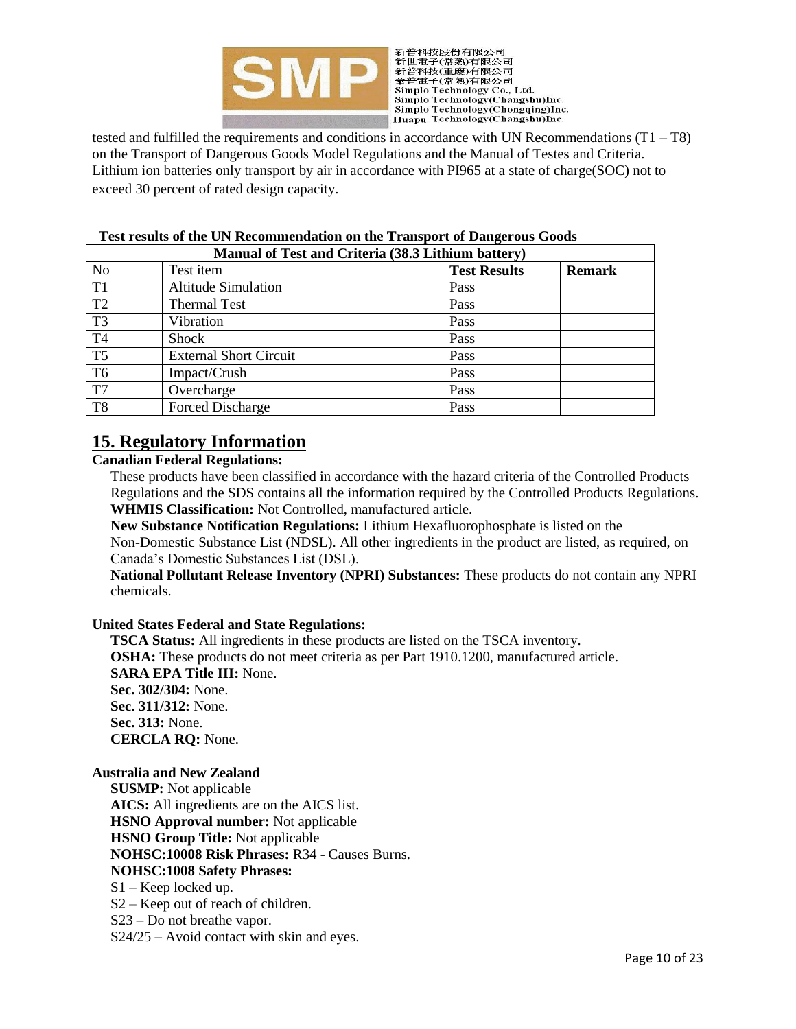

新普科技股份有限公司 "新世電子(常熟)有限公司<br>新普科技(重慶)有限公司<br>華普電子(常熟)有限公司 Simplo Technology Co., Ltd. Simplo Technology(Changshu)Inc. Simplo Technology(Chongqing)Inc. Huapu Technology(Changshu)Inc.

tested and fulfilled the requirements and conditions in accordance with UN Recommendations (T1 – T8) on the Transport of Dangerous Goods Model Regulations and the Manual of Testes and Criteria. Lithium ion batteries only transport by air in accordance with PI965 at a state of charge(SOC) not to exceed 30 percent of rated design capacity.

| Manual of Test and Criteria (38.3 Lithium battery) |                               |                     |               |  |
|----------------------------------------------------|-------------------------------|---------------------|---------------|--|
| N <sub>o</sub>                                     | Test item                     | <b>Test Results</b> | <b>Remark</b> |  |
| T1                                                 | <b>Altitude Simulation</b>    | Pass                |               |  |
| T <sub>2</sub>                                     | <b>Thermal Test</b>           | Pass                |               |  |
| T <sub>3</sub>                                     | Vibration                     | Pass                |               |  |
| T4                                                 | <b>Shock</b>                  | Pass                |               |  |
| T <sub>5</sub>                                     | <b>External Short Circuit</b> | Pass                |               |  |
| T6                                                 | Impact/Crush                  | Pass                |               |  |
| T7                                                 | Overcharge                    | Pass                |               |  |
| T <sub>8</sub>                                     | Forced Discharge              | Pass                |               |  |

# **Test results of the UN Recommendation on the Transport of Dangerous Goods**

# **15. Regulatory Information**

#### **Canadian Federal Regulations:**

These products have been classified in accordance with the hazard criteria of the Controlled Products Regulations and the SDS contains all the information required by the Controlled Products Regulations. **WHMIS Classification:** Not Controlled, manufactured article.

**New Substance Notification Regulations:** Lithium Hexafluorophosphate is listed on the Non-Domestic Substance List (NDSL). All other ingredients in the product are listed, as required, on Canada's Domestic Substances List (DSL).

**National Pollutant Release Inventory (NPRI) Substances:** These products do not contain any NPRI chemicals.

#### **United States Federal and State Regulations:**

**TSCA Status:** All ingredients in these products are listed on the TSCA inventory. **OSHA:** These products do not meet criteria as per Part 1910.1200, manufactured article. **SARA EPA Title III:** None. **Sec. 302/304:** None. **Sec. 311/312:** None. **Sec. 313:** None. **CERCLA RQ:** None.

# **Australia and New Zealand**

**SUSMP:** Not applicable **AICS:** All ingredients are on the AICS list. **HSNO Approval number:** Not applicable **HSNO Group Title:** Not applicable **NOHSC:10008 Risk Phrases:** R34 - Causes Burns. **NOHSC:1008 Safety Phrases:** S1 – Keep locked up.

- S2 Keep out of reach of children.
- S23 Do not breathe vapor.
- S24/25 Avoid contact with skin and eyes.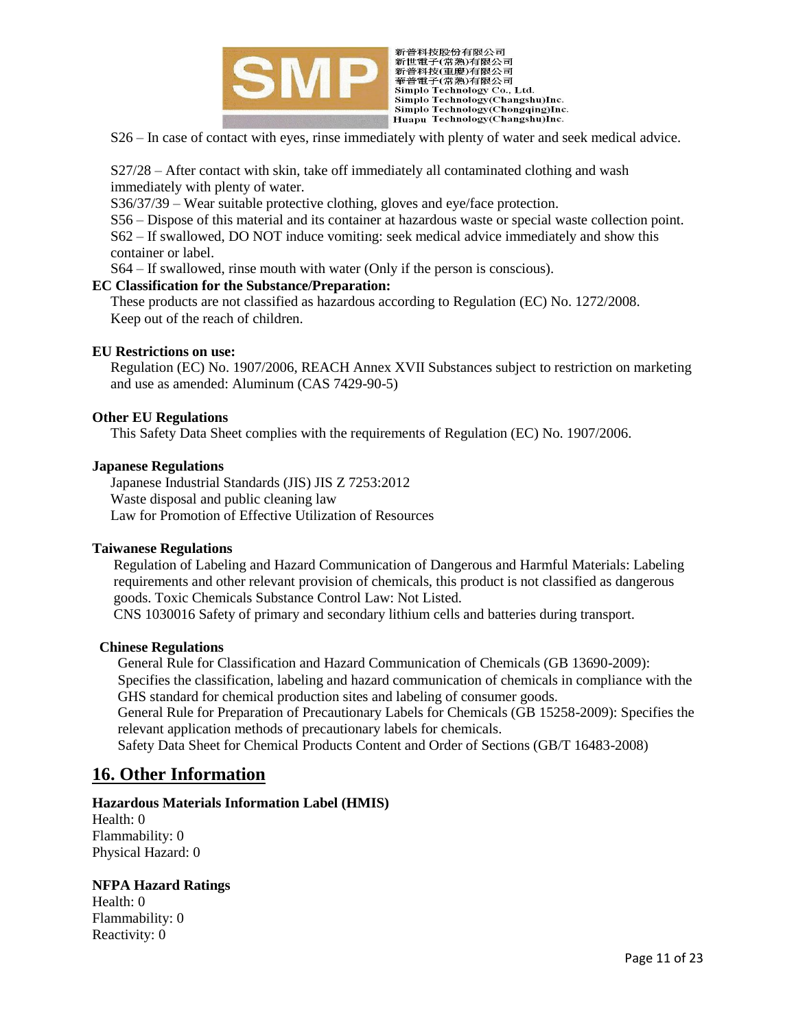

新普科技股份有限公司 新旨行後必何的有限公司<br>新普科技(重慶)有限公司<br>華普電子(常熟)有限公司<br>華普電子(常熟)有限公司<br>Simplo Technology Co., Ltd. Simplo Technology(Changshu)Inc. Simplo Technology(Chongqing)Inc. Huapu Technology(Changshu)Inc.

S26 – In case of contact with eyes, rinse immediately with plenty of water and seek medical advice.

S27/28 – After contact with skin, take off immediately all contaminated clothing and wash immediately with plenty of water.

S36/37/39 – Wear suitable protective clothing, gloves and eye/face protection.

S56 – Dispose of this material and its container at hazardous waste or special waste collection point. S62 – If swallowed, DO NOT induce vomiting: seek medical advice immediately and show this container or label.

S64 – If swallowed, rinse mouth with water (Only if the person is conscious).

#### **EC Classification for the Substance/Preparation:**

These products are not classified as hazardous according to Regulation (EC) No. 1272/2008. Keep out of the reach of children.

#### **EU Restrictions on use:**

Regulation (EC) No. 1907/2006, REACH Annex XVII Substances subject to restriction on marketing and use as amended: Aluminum (CAS 7429-90-5)

#### **Other EU Regulations**

This Safety Data Sheet complies with the requirements of Regulation (EC) No. 1907/2006.

#### **Japanese Regulations**

Japanese Industrial Standards (JIS) JIS Z 7253:2012 Waste disposal and public cleaning law Law for Promotion of Effective Utilization of Resources

#### **Taiwanese Regulations**

 Regulation of Labeling and Hazard Communication of Dangerous and Harmful Materials: Labeling requirements and other relevant provision of chemicals, this product is not classified as dangerous goods. Toxic Chemicals Substance Control Law: Not Listed.

CNS 1030016 Safety of primary and secondary lithium cells and batteries during transport.

#### **Chinese Regulations**

General Rule for Classification and Hazard Communication of Chemicals (GB 13690-2009): Specifies the classification, labeling and hazard communication of chemicals in compliance with the GHS standard for chemical production sites and labeling of consumer goods.

General Rule for Preparation of Precautionary Labels for Chemicals (GB 15258-2009): Specifies the relevant application methods of precautionary labels for chemicals.

Safety Data Sheet for Chemical Products Content and Order of Sections (GB/T 16483-2008)

# **16. Other Information**

#### **Hazardous Materials Information Label (HMIS)**

Health: 0 Flammability: 0 Physical Hazard: 0

#### **NFPA Hazard Ratings**

Health: 0 Flammability: 0 Reactivity: 0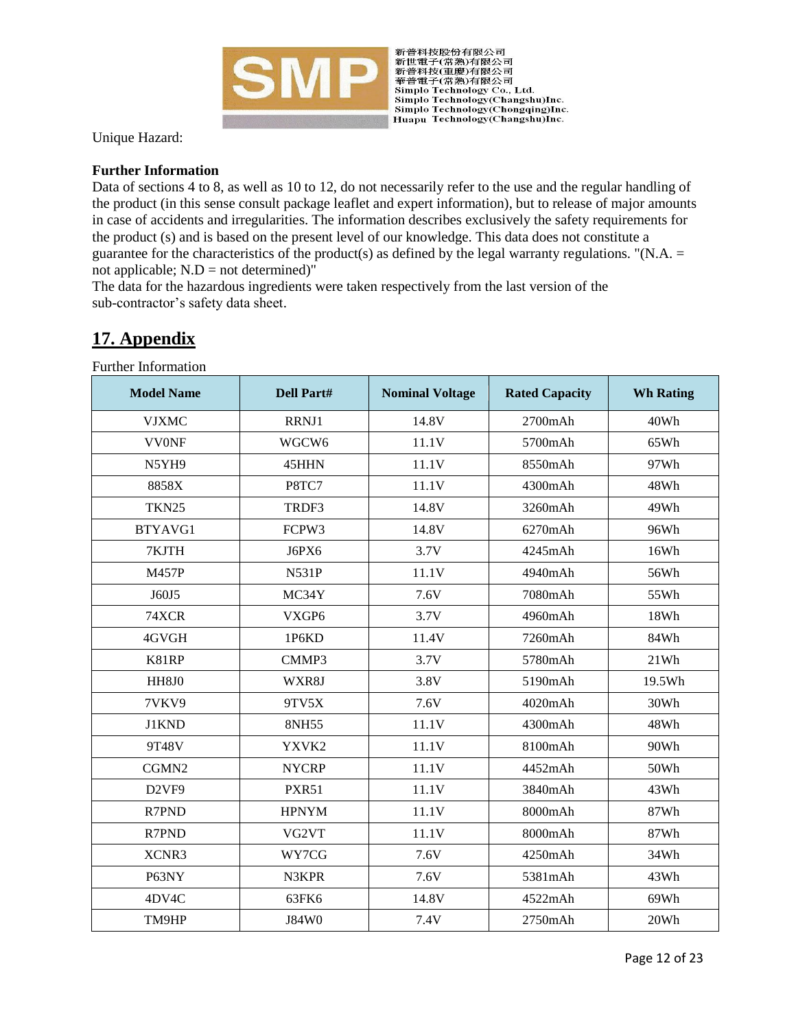

新普科技股份有限公司 \* 新世電子(常熟)有限公司<br>新普科技(重慶)有限公司<br>華普電子(常熟)有限公司 Simple Technology Co., Ltd. Simplo Technology(Changshu)Inc. Simplo Technology(Chongqing)Inc. Huapu Technology(Changshu)Inc.

Unique Hazard:

# **Further Information**

Data of sections 4 to 8, as well as 10 to 12, do not necessarily refer to the use and the regular handling of the product (in this sense consult package leaflet and expert information), but to release of major amounts in case of accidents and irregularities. The information describes exclusively the safety requirements for the product (s) and is based on the present level of our knowledge. This data does not constitute a guarantee for the characteristics of the product(s) as defined by the legal warranty regulations. "(N.A.  $=$ not applicable;  $N.D = not determined$ <sup>"</sup>

The data for the hazardous ingredients were taken respectively from the last version of the sub-contractor's safety data sheet.

# **17. Appendix**

Further Information

| <b>Model Name</b> | <b>Dell Part#</b> | <b>Nominal Voltage</b> | <b>Rated Capacity</b> | <b>Wh Rating</b> |
|-------------------|-------------------|------------------------|-----------------------|------------------|
| <b>VJXMC</b>      | RRNJ1             | 14.8V                  | 2700mAh               | 40Wh             |
| <b>VV0NF</b>      | WGCW <sub>6</sub> | 11.1V                  | 5700mAh               | 65Wh             |
| N5YH9             | 45HHN             | 11.1V                  | 8550mAh               | 97Wh             |
| 8858X             | P8TC7             | 11.1V                  | 4300mAh               | 48Wh             |
| <b>TKN25</b>      | TRDF3             | 14.8V                  | 3260mAh               | 49Wh             |
| BTYAVG1           | FCPW3             | 14.8V                  | 6270mAh               | 96Wh             |
| 7KJTH             | J6PX6             | 3.7V                   | 4245mAh               | 16Wh             |
| <b>M457P</b>      | <b>N531P</b>      | 11.1V                  | 4940mAh               | 56Wh             |
| J60J5             | MC34Y             | 7.6V                   | 7080mAh               | 55Wh             |
| 74XCR             | VXGP6             | 3.7V                   | 4960mAh               | 18Wh             |
| 4GVGH             | 1P6KD             | 11.4V                  | 7260mAh               | 84Wh             |
| K81RP             | CMMP3             | 3.7V                   | 5780mAh               | 21Wh             |
| HH8J0             | WXR8J             | 3.8V                   | 5190mAh               | 19.5Wh           |
| 7VKV9             | 9TV5X             | 7.6V                   | 4020mAh               | 30Wh             |
| J1KND             | 8NH55             | 11.1V                  | 4300mAh               | 48Wh             |
| 9T48V             | YXVK2             | 11.1V                  | 8100mAh               | 90Wh             |
| CGMN2             | <b>NYCRP</b>      | 11.1V                  | 4452mAh               | 50Wh             |
| D <sub>2VF9</sub> | <b>PXR51</b>      | 11.1V                  | 3840mAh               | 43Wh             |
| R7PND             | <b>HPNYM</b>      | 11.1V                  | 8000mAh               | 87Wh             |
| R7PND             | VG2VT             | 11.1V                  | 8000mAh               | 87Wh             |
| XCNR3             | WY7CG             | 7.6V                   | 4250mAh               | 34Wh             |
| P63NY             | N3KPR             | 7.6V                   | 5381mAh               | 43Wh             |
| 4DV4C             | 63FK6             | 14.8V                  | 4522mAh               | 69Wh             |
| TM9HP             | J84W0             | 7.4V                   | 2750mAh               | 20Wh             |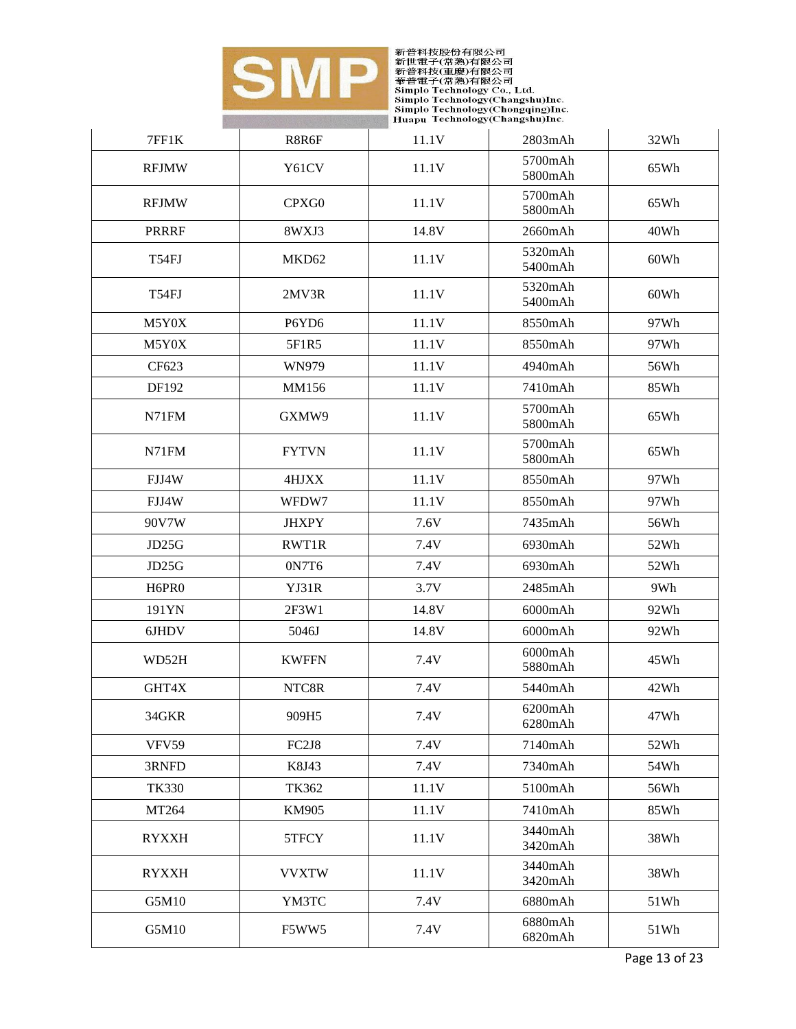

| 7FF1K        | R8R6F                          | 11.1V | 2803mAh                  | 32Wh |
|--------------|--------------------------------|-------|--------------------------|------|
| <b>RFJMW</b> | Y61CV                          | 11.1V | 5700mAh<br>5800mAh       | 65Wh |
| <b>RFJMW</b> | CPXG0                          | 11.1V | 5700mAh<br>5800mAh       | 65Wh |
| <b>PRRRF</b> | 8WXJ3                          | 14.8V | 2660mAh                  | 40Wh |
| T54FJ        | MKD62                          | 11.1V | 5320mAh<br>5400mAh       | 60Wh |
| T54FJ        | 2MV3R                          | 11.1V | 5320mAh<br>5400mAh       | 60Wh |
| M5Y0X        | P6YD6                          | 11.1V | 8550mAh                  | 97Wh |
| M5Y0X        | 5F1R5                          | 11.1V | 8550mAh                  | 97Wh |
| CF623        | WN979                          | 11.1V | 4940mAh                  | 56Wh |
| DF192        | MM156                          | 11.1V | 7410mAh                  | 85Wh |
| N71FM        | GXMW9                          | 11.1V | 5700mAh<br>5800mAh       | 65Wh |
| N71FM        | <b>FYTVN</b>                   | 11.1V | 5700mAh<br>5800mAh       | 65Wh |
| FJJ4W        | 4HJXX                          | 11.1V | 8550mAh                  | 97Wh |
| FJJ4W        | WFDW7                          | 11.1V | 8550mAh                  | 97Wh |
| 90V7W        | <b>JHXPY</b>                   | 7.6V  | 7435mAh                  | 56Wh |
| JD25G        | RWT1R                          | 7.4V  | 6930mAh                  | 52Wh |
| JD25G        | 0N7T6                          | 7.4V  | 6930mAh                  | 52Wh |
| H6PR0        | YJ31R                          | 3.7V  | $2485$ mAh               | 9Wh  |
| 191YN        | 2F3W1                          | 14.8V | 6000mAh                  | 92Wh |
| 6JHDV        | 5046J                          | 14.8V | 6000mAh                  | 92Wh |
| WD52H        | <b>KWFFN</b>                   | 7.4V  | 6000mAh<br>5880mAh       | 45Wh |
| GHT4X        | NTC8R                          | 7.4V  | 5440mAh                  | 42Wh |
| 34GKR        | 909H5                          | 7.4V  | $6200$ m $Ah$<br>6280mAh | 47Wh |
| <b>VFV59</b> | FC <sub>2</sub> J <sub>8</sub> | 7.4V  | 7140mAh                  | 52Wh |
| 3RNFD        | K8J43                          | 7.4V  | 7340mAh                  | 54Wh |
| <b>TK330</b> | TK362                          | 11.1V | 5100mAh                  | 56Wh |
| MT264        | <b>KM905</b>                   | 11.1V | 7410mAh                  | 85Wh |
| <b>RYXXH</b> | 5TFCY                          | 11.1V | 3440mAh<br>3420mAh       | 38Wh |
| <b>RYXXH</b> | <b>VVXTW</b>                   | 11.1V | 3440mAh<br>3420mAh       | 38Wh |
| G5M10        | YM3TC                          | 7.4V  | 6880mAh                  | 51Wh |
| G5M10        | F5WW5                          | 7.4V  | 6880mAh<br>6820mAh       | 51Wh |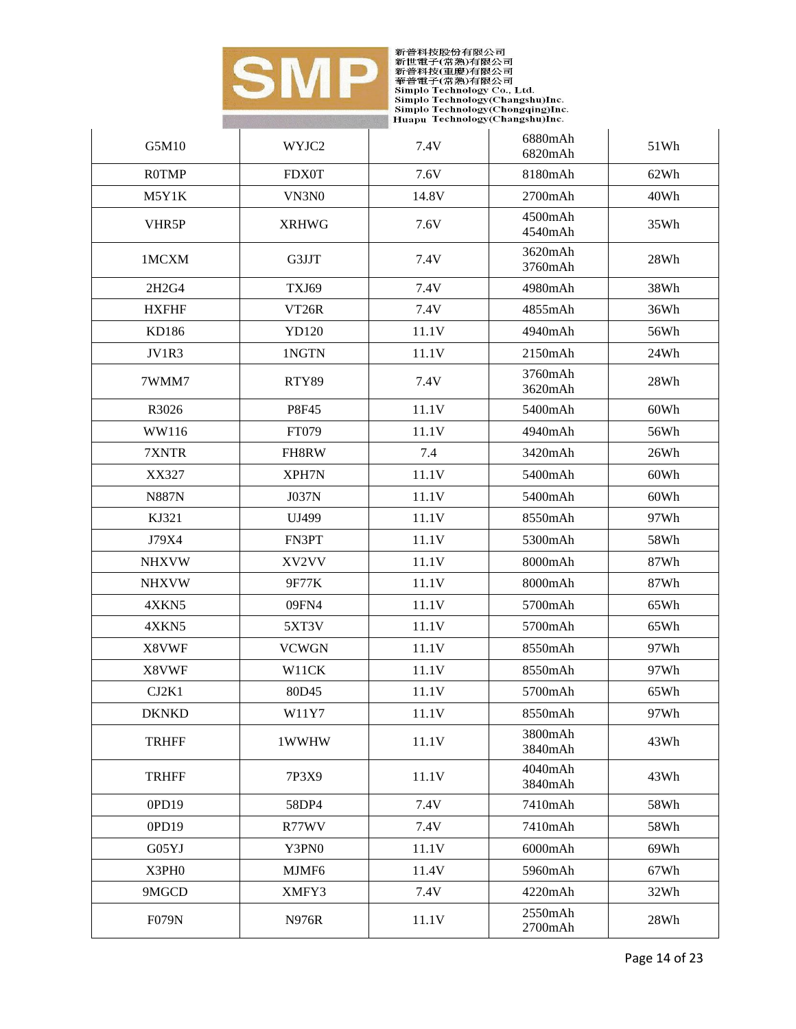

| G5M10        | WYJC2              | 7.4V  | 6880mAh<br>6820mAh | 51Wh |
|--------------|--------------------|-------|--------------------|------|
| <b>ROTMP</b> | <b>FDX0T</b>       | 7.6V  | 8180mAh            | 62Wh |
| M5Y1K        | VN3N0              | 14.8V | 2700mAh            | 40Wh |
| VHR5P        | <b>XRHWG</b>       | 7.6V  | 4500mAh<br>4540mAh | 35Wh |
| 1MCXM        | G3JJT              | 7.4V  | 3620mAh<br>3760mAh | 28Wh |
| 2H2G4        | TXJ69              | 7.4V  | 4980mAh            | 38Wh |
| <b>HXFHF</b> | VT <sub>26</sub> R | 7.4V  | 4855mAh            | 36Wh |
| KD186        | YD120              | 11.1V | 4940mAh            | 56Wh |
| JV1R3        | 1NGTN              | 11.1V | 2150mAh            | 24Wh |
| 7WMM7        | RTY89              | 7.4V  | 3760mAh<br>3620mAh | 28Wh |
| R3026        | P8F45              | 11.1V | 5400mAh            | 60Wh |
| WW116        | FT079              | 11.1V | 4940mAh            | 56Wh |
| 7XNTR        | FH8RW              | 7.4   | 3420mAh            | 26Wh |
| XX327        | XPH7N              | 11.1V | 5400mAh            | 60Wh |
| <b>N887N</b> | J037N              | 11.1V | 5400mAh            | 60Wh |
| KJ321        | UJ499              | 11.1V | 8550mAh            | 97Wh |
| J79X4        | FN3PT              | 11.1V | 5300mAh            | 58Wh |
| <b>NHXVW</b> | XV2VV              | 11.1V | 8000mAh            | 87Wh |
| <b>NHXVW</b> | 9F77K              | 11.1V | 8000mAh            | 87Wh |
| 4XKN5        | 09FN4              | 11.1V | 5700mAh            | 65Wh |
| 4XKN5        | 5XT3V              | 11.1V | 5700mAh            | 65Wh |
| X8VWF        | <b>VCWGN</b>       | 11.1V | 8550mAh            | 97Wh |
| X8VWF        | W11CK              | 11.1V | 8550mAh            | 97Wh |
| CJ2K1        | 80D45              | 11.1V | 5700mAh            | 65Wh |
| <b>DKNKD</b> | W11Y7              | 11.1V | 8550mAh            | 97Wh |
| <b>TRHFF</b> | 1WWHW              | 11.1V | 3800mAh<br>3840mAh | 43Wh |
| <b>TRHFF</b> | 7P3X9              | 11.1V | 4040mAh<br>3840mAh | 43Wh |
| 0PD19        | 58DP4              | 7.4V  | 7410mAh            | 58Wh |
| 0PD19        | R77WV              | 7.4V  | 7410mAh            | 58Wh |
| G05YJ        | Y3PN0              | 11.1V | 6000mAh            | 69Wh |
| X3PH0        | MJMF6              | 11.4V | 5960mAh            | 67Wh |
| 9MGCD        | XMFY3              | 7.4V  | 4220mAh            | 32Wh |
| <b>F079N</b> | <b>N976R</b>       | 11.1V | 2550mAh<br>2700mAh | 28Wh |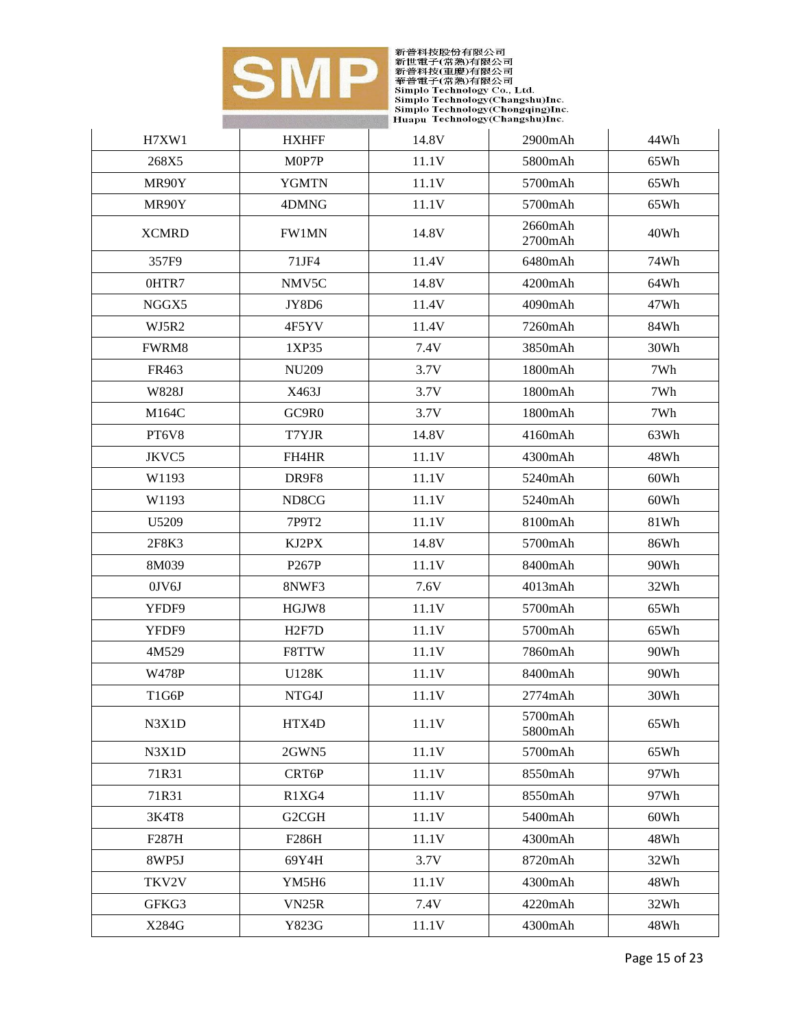

| H7XW1        | <b>HXHFF</b>       | 14.8V | 2900mAh            | 44Wh |
|--------------|--------------------|-------|--------------------|------|
| 268X5        | M0P7P              | 11.1V | 5800mAh            | 65Wh |
| MR90Y        | <b>YGMTN</b>       | 11.1V | 5700mAh            | 65Wh |
| MR90Y        | 4DMNG              | 11.1V | 5700mAh            | 65Wh |
| <b>XCMRD</b> | FW1MN              | 14.8V | 2660mAh<br>2700mAh | 40Wh |
| 357F9        | 71JF4              | 11.4V | 6480mAh            | 74Wh |
| 0HTR7        | NMV5C              | 14.8V | 4200mAh            | 64Wh |
| NGGX5        | JY8D6              | 11.4V | 4090mAh            | 47Wh |
| WJ5R2        | 4F5YV              | 11.4V | 7260mAh            | 84Wh |
| FWRM8        | 1XP35              | 7.4V  | 3850mAh            | 30Wh |
| FR463        | <b>NU209</b>       | 3.7V  | 1800mAh            | 7Wh  |
| W828J        | X463J              | 3.7V  | 1800mAh            | 7Wh  |
| M164C        | GC9R0              | 3.7V  | 1800mAh            | 7Wh  |
| PT6V8        | T7YJR              | 14.8V | 4160mAh            | 63Wh |
| JKVC5        | FH4HR              | 11.1V | 4300mAh            | 48Wh |
| W1193        | DR9F8              | 11.1V | 5240mAh            | 60Wh |
| W1193        | ND <sub>8</sub> CG | 11.1V | 5240mAh            | 60Wh |
| U5209        | 7P9T2              | 11.1V | 8100mAh            | 81Wh |
| 2F8K3        | KJ2PX              | 14.8V | 5700mAh            | 86Wh |
| 8M039        | P <sub>267</sub> P | 11.1V | 8400mAh            | 90Wh |
| $0$ JV $6$ J | 8NWF3              | 7.6V  | 4013mAh            | 32Wh |
| YFDF9        | HGJW8              | 11.1V | 5700mAh            | 65Wh |
| YFDF9        | H <sub>2F7</sub> D | 11.1V | 5700mAh            | 65Wh |
| 4M529        | F8TTW              | 11.1V | 7860mAh            | 90Wh |
| W478P        | <b>U128K</b>       | 11.1V | 8400mAh            | 90Wh |
| T1G6P        | NTG4J              | 11.1V | 2774mAh            | 30Wh |
| N3X1D        | HTX4D              | 11.1V | 5700mAh<br>5800mAh | 65Wh |
| N3X1D        | 2GWN5              | 11.1V | 5700mAh            | 65Wh |
| 71R31        | CRT6P              | 11.1V | 8550mAh            | 97Wh |
| 71R31        | R1XG4              | 11.1V | 8550mAh            | 97Wh |
| 3K4T8        | G2CGH              | 11.1V | 5400mAh            | 60Wh |
| F287H        | F286H              | 11.1V | 4300mAh            | 48Wh |
| 8WP5J        | 69Y4H              | 3.7V  | 8720mAh            | 32Wh |
| TKV2V        | YM5H6              | 11.1V | 4300mAh            | 48Wh |
| GFKG3        | VN <sub>25</sub> R | 7.4V  | 4220mAh            | 32Wh |
| X284G        | Y823G              | 11.1V | 4300mAh            | 48Wh |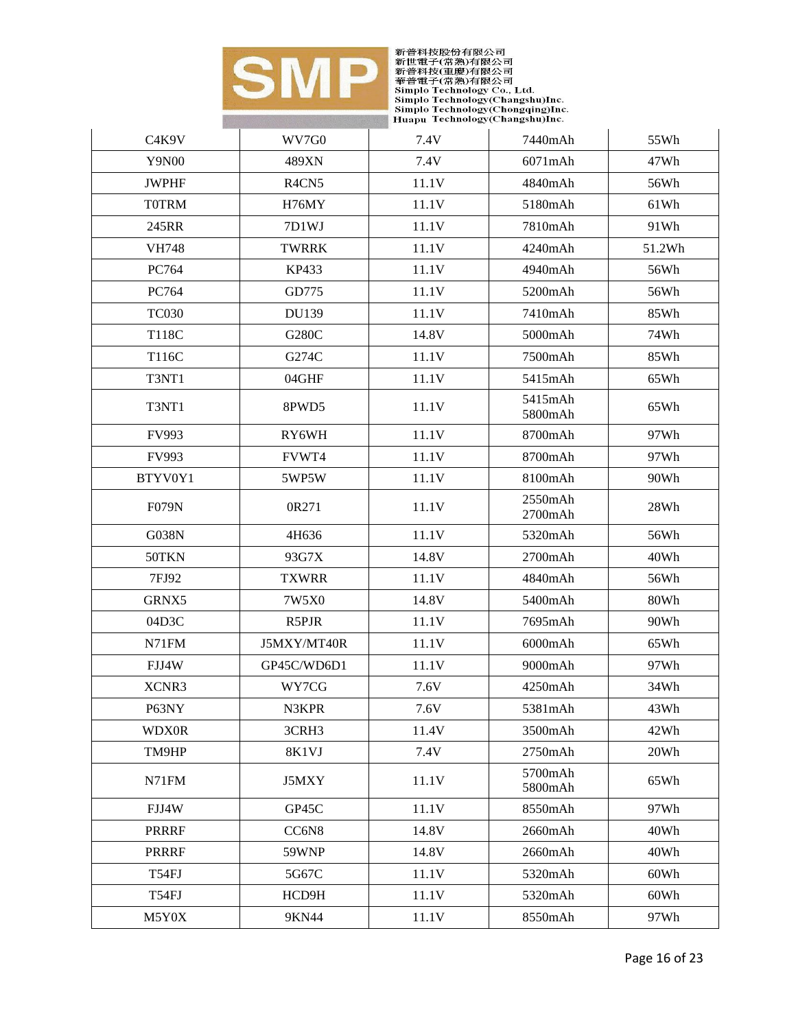

| C <sub>4</sub> K <sub>9</sub> V | WV7G0                          | 7.4V  | 7440mAh            | 55Wh   |
|---------------------------------|--------------------------------|-------|--------------------|--------|
| Y9N00                           | 489XN                          | 7.4V  | 6071mAh            | 47Wh   |
| <b>JWPHF</b>                    | R <sub>4</sub> CN <sub>5</sub> | 11.1V | 4840mAh            | 56Wh   |
| <b>TOTRM</b>                    | H76MY                          | 11.1V | 5180mAh            | 61Wh   |
| 245RR                           | 7D1WJ                          | 11.1V | 7810mAh            | 91Wh   |
| <b>VH748</b>                    | <b>TWRRK</b>                   | 11.1V | 4240mAh            | 51.2Wh |
| PC764                           | KP433                          | 11.1V | 4940mAh            | 56Wh   |
| PC764                           | GD775                          | 11.1V | 5200mAh            | 56Wh   |
| <b>TC030</b>                    | DU139                          | 11.1V | 7410mAh            | 85Wh   |
| T118C                           | G280C                          | 14.8V | 5000mAh            | 74Wh   |
| T116C                           | G274C                          | 11.1V | 7500mAh            | 85Wh   |
| T3NT1                           | 04GHF                          | 11.1V | 5415mAh            | 65Wh   |
| T3NT1                           | 8PWD5                          | 11.1V | 5415mAh<br>5800mAh | 65Wh   |
| FV993                           | RY6WH                          | 11.1V | 8700mAh            | 97Wh   |
| FV993                           | FVWT4                          | 11.1V | 8700mAh            | 97Wh   |
| BTYV0Y1                         | 5WP5W                          | 11.1V | 8100mAh            | 90Wh   |
| <b>F079N</b>                    | 0R271                          | 11.1V | 2550mAh<br>2700mAh | 28Wh   |
| G038N                           | 4H636                          | 11.1V | 5320mAh            | 56Wh   |
| 50TKN                           | 93G7X                          | 14.8V | $2700$ m $Ah$      | 40Wh   |
| 7FJ92                           | <b>TXWRR</b>                   | 11.1V | 4840mAh            | 56Wh   |
| GRNX5                           | 7W5X0                          | 14.8V | 5400mAh            | 80Wh   |
| 04D3C                           | R5PJR                          | 11.1V | 7695mAh            | 90Wh   |
| N71FM                           | J5MXY/MT40R                    | 11.1V | 6000mAh            | 65Wh   |
| FJJ4W                           | GP45C/WD6D1                    | 11.1V | 9000mAh            | 97Wh   |
| XCNR3                           | WY7CG                          | 7.6V  | 4250mAh            | 34Wh   |
| P63NY                           | N3KPR                          | 7.6V  | 5381mAh            | 43Wh   |
| <b>WDX0R</b>                    | 3CRH <sub>3</sub>              | 11.4V | 3500mAh            | 42Wh   |
| TM9HP                           | 8K1VJ                          | 7.4V  | 2750mAh            | 20Wh   |
| N71FM                           | J5MXY                          | 11.1V | 5700mAh<br>5800mAh | 65Wh   |
| FJJ4W                           | GP45C                          | 11.1V | 8550mAh            | 97Wh   |
| <b>PRRRF</b>                    | CC6N8                          | 14.8V | 2660mAh            | 40Wh   |
| <b>PRRRF</b>                    | 59WNP                          | 14.8V | 2660mAh            | 40Wh   |
| T54FJ                           | 5G67C                          | 11.1V | 5320mAh            | 60Wh   |
| T54FJ                           | HCD9H                          | 11.1V | 5320mAh            | 60Wh   |
| M5Y0X                           | 9KN44                          | 11.1V | 8550mAh            | 97Wh   |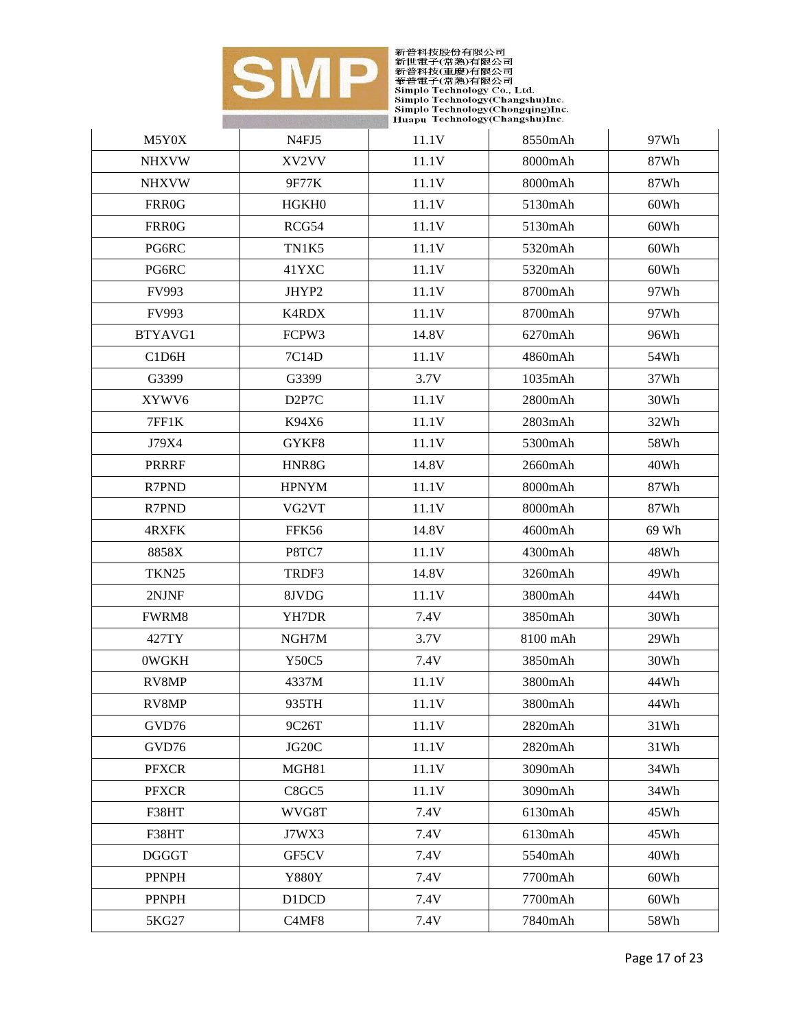

| M5Y0X             | N4FJ5              | 11.1V | 8550mAh  | 97Wh  |
|-------------------|--------------------|-------|----------|-------|
| <b>NHXVW</b>      | XV2VV              | 11.1V | 8000mAh  | 87Wh  |
| <b>NHXVW</b>      | 9F77K              | 11.1V | 8000mAh  | 87Wh  |
| FRR0G             | HGKH <sub>0</sub>  | 11.1V | 5130mAh  | 60Wh  |
| <b>FRR0G</b>      | RCG54              | 11.1V | 5130mAh  | 60Wh  |
| PG6RC             | TN1K5              | 11.1V | 5320mAh  | 60Wh  |
| PG6RC             | 41YXC              | 11.1V | 5320mAh  | 60Wh  |
| FV993             | JHYP2              | 11.1V | 8700mAh  | 97Wh  |
| FV993             | K4RDX              | 11.1V | 8700mAh  | 97Wh  |
| BTYAVG1           | FCPW3              | 14.8V | 6270mAh  | 96Wh  |
| C1D6H             | 7C14D              | 11.1V | 4860mAh  | 54Wh  |
| G3399             | G3399              | 3.7V  | 1035mAh  | 37Wh  |
| XYWV6             | D <sub>2P7</sub> C | 11.1V | 2800mAh  | 30Wh  |
| 7FF1K             | K94X6              | 11.1V | 2803mAh  | 32Wh  |
| J79X4             | GYKF8              | 11.1V | 5300mAh  | 58Wh  |
| <b>PRRRF</b>      | HNR8G              | 14.8V | 2660mAh  | 40Wh  |
| R7PND             | <b>HPNYM</b>       | 11.1V | 8000mAh  | 87Wh  |
| R7PND             | VG2VT              | 11.1V | 8000mAh  | 87Wh  |
| 4RXFK             | FFK56              | 14.8V | 4600mAh  | 69 Wh |
| 8858X             | P8TC7              | 11.1V | 4300mAh  | 48Wh  |
| TKN <sub>25</sub> | TRDF3              | 14.8V | 3260mAh  | 49Wh  |
| 2NJNF             | 8JVDG              | 11.1V | 3800mAh  | 44Wh  |
| FWRM8             | YH7DR              | 7.4V  | 3850mAh  | 30Wh  |
| 427TY             | NGH7M              | 3.7V  | 8100 mAh | 29Wh  |
| 0WGKH             | Y50C5              | 7.4V  | 3850mAh  | 30Wh  |
| RV8MP             | 4337M              | 11.1V | 3800mAh  | 44Wh  |
| RV8MP             | 935TH              | 11.1V | 3800mAh  | 44Wh  |
| GVD76             | 9C26T              | 11.1V | 2820mAh  | 31Wh  |
| GVD76             | JG20C              | 11.1V | 2820mAh  | 31Wh  |
| <b>PFXCR</b>      | MGH81              | 11.1V | 3090mAh  | 34Wh  |
| <b>PFXCR</b>      | C8GC5              | 11.1V | 3090mAh  | 34Wh  |
| F38HT             | WVG8T              | 7.4V  | 6130mAh  | 45Wh  |
| F38HT             | J7WX3              | 7.4V  | 6130mAh  | 45Wh  |
| <b>DGGGT</b>      | GF5CV              | 7.4V  | 5540mAh  | 40Wh  |
| <b>PPNPH</b>      | <b>Y880Y</b>       | 7.4V  | 7700mAh  | 60Wh  |
| <b>PPNPH</b>      | D1DCD              | 7.4V  | 7700mAh  | 60Wh  |
| 5KG27             | C4MF8              | 7.4V  | 7840mAh  | 58Wh  |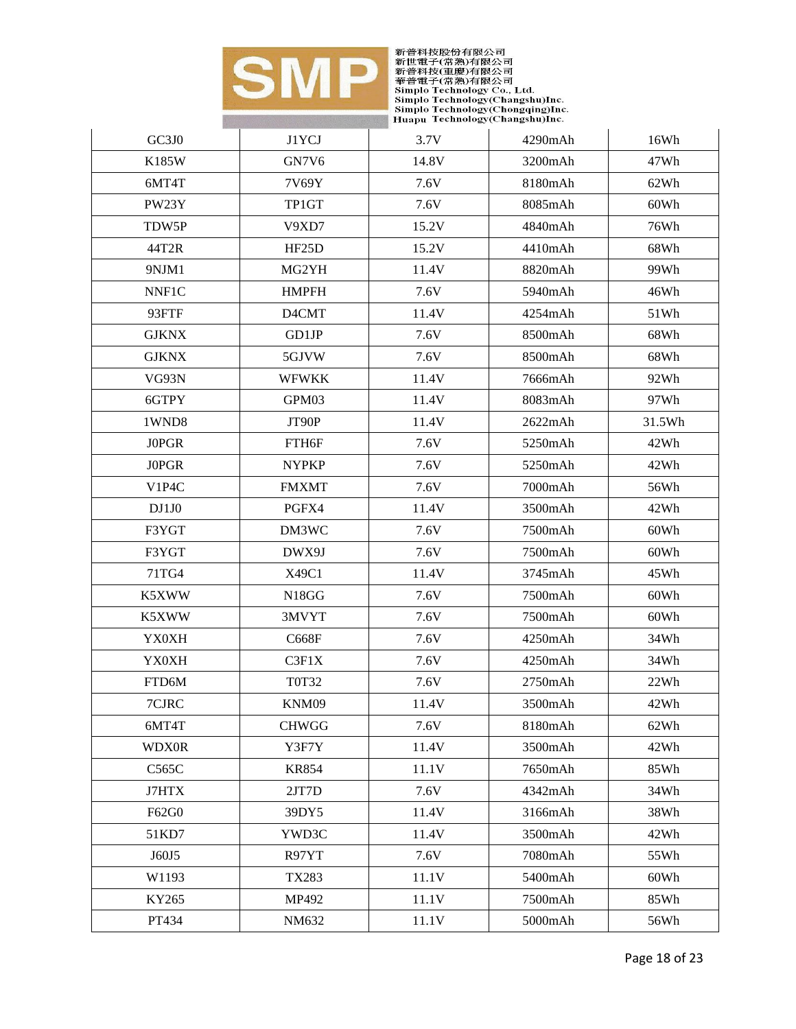

| GC3J0        | J1YCJ              | 3.7V  | 4290mAh | 16Wh   |
|--------------|--------------------|-------|---------|--------|
| K185W        | GN7V6              | 14.8V | 3200mAh | 47Wh   |
| 6MT4T        | 7V69Y              | 7.6V  | 8180mAh | 62Wh   |
| PW23Y        | TP1GT              | 7.6V  | 8085mAh | 60Wh   |
| TDW5P        | V9XD7              | 15.2V | 4840mAh | 76Wh   |
| 44T2R        | HF <sub>25</sub> D | 15.2V | 4410mAh | 68Wh   |
| 9NJM1        | MG2YH              | 11.4V | 8820mAh | 99Wh   |
| NNF1C        | <b>HMPFH</b>       | 7.6V  | 5940mAh | 46Wh   |
| 93FTF        | D4CMT              | 11.4V | 4254mAh | 51Wh   |
| <b>GJKNX</b> | GD1JP              | 7.6V  | 8500mAh | 68Wh   |
| <b>GJKNX</b> | 5GJVW              | 7.6V  | 8500mAh | 68Wh   |
| VG93N        | <b>WFWKK</b>       | 11.4V | 7666mAh | 92Wh   |
| 6GTPY        | GPM03              | 11.4V | 8083mAh | 97Wh   |
| 1WND8        | JT90P              | 11.4V | 2622mAh | 31.5Wh |
| <b>JOPGR</b> | FTH6F              | 7.6V  | 5250mAh | 42Wh   |
| <b>JOPGR</b> | <b>NYPKP</b>       | 7.6V  | 5250mAh | 42Wh   |
| V1P4C        | <b>FMXMT</b>       | 7.6V  | 7000mAh | 56Wh   |
| DJ1J0        | PGFX4              | 11.4V | 3500mAh | 42Wh   |
| F3YGT        | DM3WC              | 7.6V  | 7500mAh | 60Wh   |
| F3YGT        | DWX9J              | 7.6V  | 7500mAh | 60Wh   |
| 71TG4        | X49C1              | 11.4V | 3745mAh | 45Wh   |
| K5XWW        | N18GG              | 7.6V  | 7500mAh | 60Wh   |
| K5XWW        | 3MVYT              | 7.6V  | 7500mAh | 60Wh   |
| <b>YX0XH</b> | C668F              | 7.6V  | 4250mAh | 34Wh   |
| <b>YX0XH</b> | C3F1X              | 7.6V  | 4250mAh | 34Wh   |
| FTD6M        | <b>T0T32</b>       | 7.6V  | 2750mAh | 22Wh   |
| 7CJRC        | KNM09              | 11.4V | 3500mAh | 42Wh   |
| 6MT4T        | <b>CHWGG</b>       | 7.6V  | 8180mAh | 62Wh   |
| <b>WDX0R</b> | Y3F7Y              | 11.4V | 3500mAh | 42Wh   |
| C565C        | <b>KR854</b>       | 11.1V | 7650mAh | 85Wh   |
| J7HTX        | 2JT7D              | 7.6V  | 4342mAh | 34Wh   |
| F62G0        | 39DY5              | 11.4V | 3166mAh | 38Wh   |
| 51KD7        | YWD3C              | 11.4V | 3500mAh | 42Wh   |
| J60J5        | R97YT              | 7.6V  | 7080mAh | 55Wh   |
| W1193        | <b>TX283</b>       | 11.1V | 5400mAh | 60Wh   |
| KY265        | MP492              | 11.1V | 7500mAh | 85Wh   |
| PT434        | NM632              | 11.1V | 5000mAh | 56Wh   |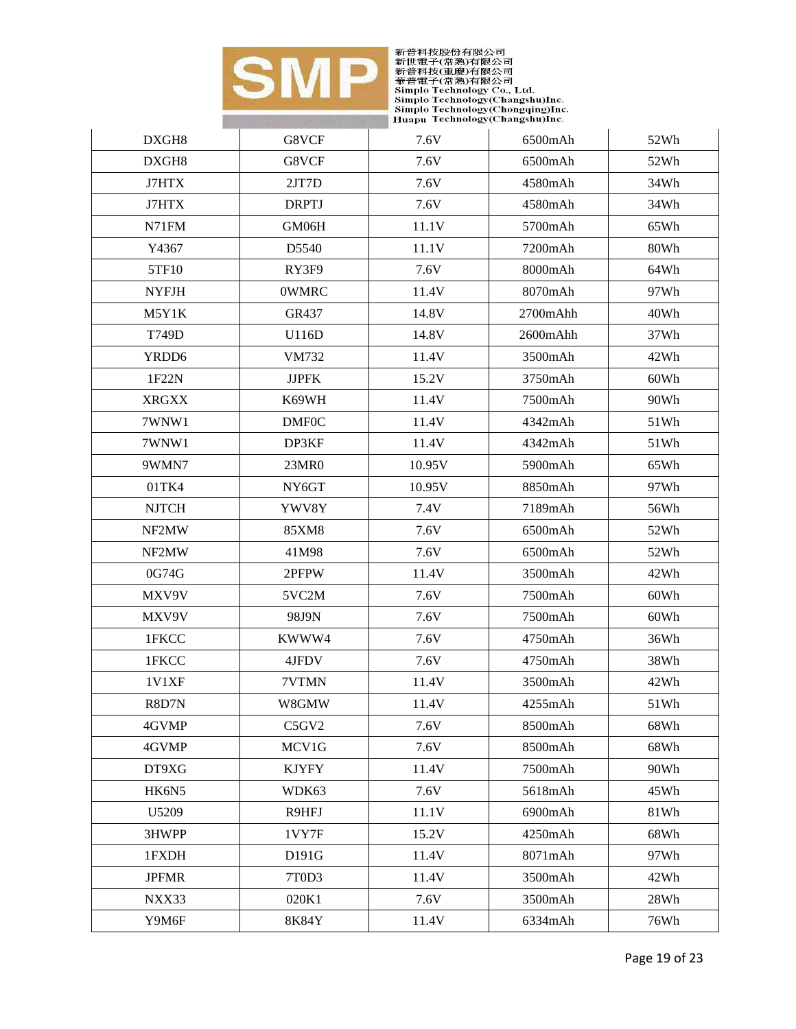

| DXGH8             | G8VCF              | 7.6V   | 6500mAh  | 52Wh |
|-------------------|--------------------|--------|----------|------|
| DXGH8             | G8VCF              | 7.6V   | 6500mAh  | 52Wh |
| J7HTX             | 2JT7D              | 7.6V   | 4580mAh  | 34Wh |
| J7HTX             | <b>DRPTJ</b>       | 7.6V   | 4580mAh  | 34Wh |
| N71FM             | GM06H              | 11.1V  | 5700mAh  | 65Wh |
| Y4367             | D <sub>5540</sub>  | 11.1V  | 7200mAh  | 80Wh |
| 5TF10             | RY3F9              | 7.6V   | 8000mAh  | 64Wh |
| <b>NYFJH</b>      | <b>OWMRC</b>       | 11.4V  | 8070mAh  | 97Wh |
| M5Y1K             | GR437              | 14.8V  | 2700mAhh | 40Wh |
| T749D             | U116D              | 14.8V  | 2600mAhh | 37Wh |
| YRDD <sub>6</sub> | VM732              | 11.4V  | 3500mAh  | 42Wh |
| 1F22N             | <b>JJPFK</b>       | 15.2V  | 3750mAh  | 60Wh |
| <b>XRGXX</b>      | K69WH              | 11.4V  | 7500mAh  | 90Wh |
| 7WNW1             | <b>DMF0C</b>       | 11.4V  | 4342mAh  | 51Wh |
| 7WNW1             | DP3KF              | 11.4V  | 4342mAh  | 51Wh |
| 9WMN7             | 23MR0              | 10.95V | 5900mAh  | 65Wh |
| 01TK4             | NY <sub>6</sub> GT | 10.95V | 8850mAh  | 97Wh |
| <b>NJTCH</b>      | YWV8Y              | 7.4V   | 7189mAh  | 56Wh |
| NF2MW             | 85XM8              | 7.6V   | 6500mAh  | 52Wh |
| NF2MW             | 41M98              | 7.6V   | 6500mAh  | 52Wh |
| 0G74G             | 2PFPW              | 11.4V  | 3500mAh  | 42Wh |
| MXV9V             | 5VC2M              | 7.6V   | 7500mAh  | 60Wh |
| MXV9V             | 98J9N              | 7.6V   | 7500mAh  | 60Wh |
| 1FKCC             | KWWW4              | 7.6V   | 4750mAh  | 36Wh |
| 1FKCC             | 4JFDV              | 7.6V   | 4750mAh  | 38Wh |
| <b>1V1XF</b>      | 7VTMN              | 11.4V  | 3500mAh  | 42Wh |
| R8D7N             | W8GMW              | 11.4V  | 4255mAh  | 51Wh |
| 4GVMP             | C5GV2              | 7.6V   | 8500mAh  | 68Wh |
| 4GVMP             | MCV1G              | 7.6V   | 8500mAh  | 68Wh |
| DT9XG             | <b>KJYFY</b>       | 11.4V  | 7500mAh  | 90Wh |
| HK6N5             | WDK63              | 7.6V   | 5618mAh  | 45Wh |
| U5209             | R9HFJ              | 11.1V  | 6900mAh  | 81Wh |
| 3HWPP             | 1VY7F              | 15.2V  | 4250mAh  | 68Wh |
| 1FXDH             | D191G              | 11.4V  | 8071mAh  | 97Wh |
| <b>JPFMR</b>      | 7T0D3              | 11.4V  | 3500mAh  | 42Wh |
| NXX33             | 020K1              | 7.6V   | 3500mAh  | 28Wh |
| Y9M6F             | 8K84Y              | 11.4V  | 6334mAh  | 76Wh |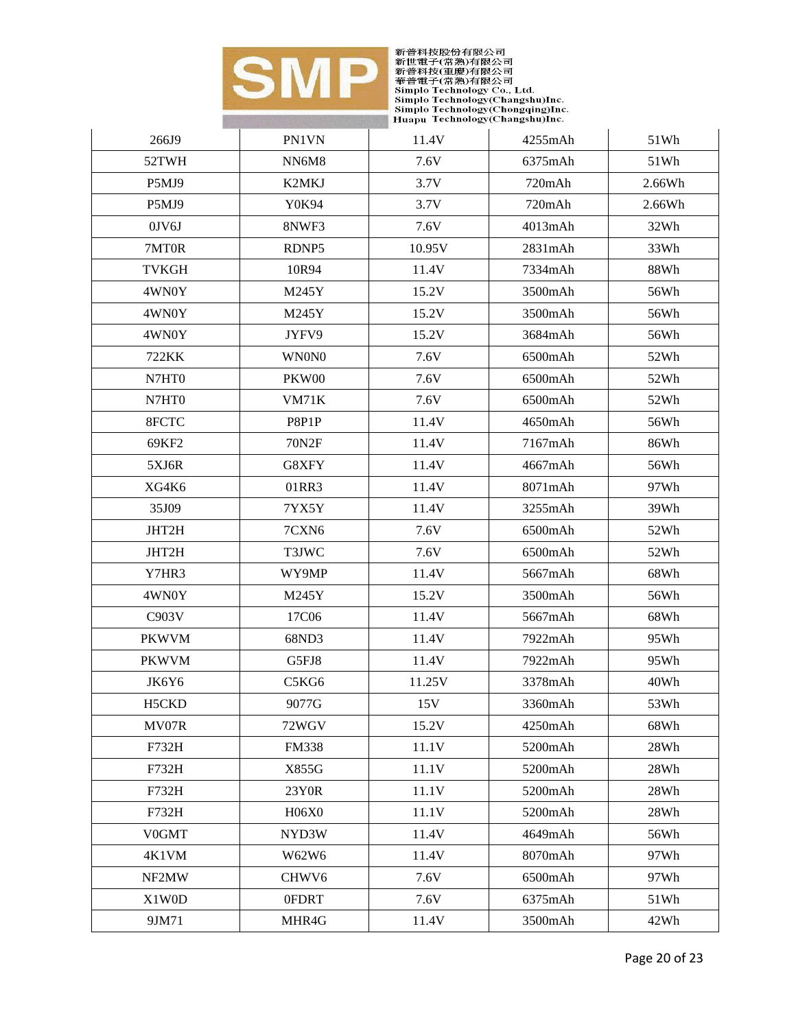

| 266J9        | PN1VN        | 11.4V  | 4255mAh | 51Wh   |
|--------------|--------------|--------|---------|--------|
| 52TWH        | NN6M8        | 7.6V   | 6375mAh | 51Wh   |
| P5MJ9        | <b>K2MKJ</b> | 3.7V   | 720mAh  | 2.66Wh |
| P5MJ9        | Y0K94        | 3.7V   | 720mAh  | 2.66Wh |
| $0$ JV $6$ J | 8NWF3        | 7.6V   | 4013mAh | 32Wh   |
| 7MT0R        | RDNP5        | 10.95V | 2831mAh | 33Wh   |
| <b>TVKGH</b> | 10R94        | 11.4V  | 7334mAh | 88Wh   |
| 4WN0Y        | M245Y        | 15.2V  | 3500mAh | 56Wh   |
| 4WN0Y        | M245Y        | 15.2V  | 3500mAh | 56Wh   |
| 4WN0Y        | JYFV9        | 15.2V  | 3684mAh | 56Wh   |
| 722KK        | <b>WNONO</b> | 7.6V   | 6500mAh | 52Wh   |
| N7HT0        | PKW00        | 7.6V   | 6500mAh | 52Wh   |
| N7HT0        | <b>VM71K</b> | 7.6V   | 6500mAh | 52Wh   |
| 8FCTC        | P8P1P        | 11.4V  | 4650mAh | 56Wh   |
| 69KF2        | <b>70N2F</b> | 11.4V  | 7167mAh | 86Wh   |
| 5XJ6R        | G8XFY        | 11.4V  | 4667mAh | 56Wh   |
| XG4K6        | 01RR3        | 11.4V  | 8071mAh | 97Wh   |
| 35J09        | 7YX5Y        | 11.4V  | 3255mAh | 39Wh   |
| JHT2H        | 7CXN6        | 7.6V   | 6500mAh | 52Wh   |
| JHT2H        | T3JWC        | 7.6V   | 6500mAh | 52Wh   |
| Y7HR3        | WY9MP        | 11.4V  | 5667mAh | 68Wh   |
| 4WN0Y        | M245Y        | 15.2V  | 3500mAh | 56Wh   |
| C903V        | 17C06        | 11.4V  | 5667mAh | 68Wh   |
| <b>PKWVM</b> | 68ND3        | 11.4V  | 7922mAh | 95Wh   |
| <b>PKWVM</b> | G5FJ8        | 11.4V  | 7922mAh | 95Wh   |
| JK6Y6        | C5KG6        | 11.25V | 3378mAh | 40Wh   |
| H5CKD        | 9077G        | 15V    | 3360mAh | 53Wh   |
| MV07R        | 72WGV        | 15.2V  | 4250mAh | 68Wh   |
| F732H        | <b>FM338</b> | 11.1V  | 5200mAh | 28Wh   |
| F732H        | X855G        | 11.1V  | 5200mAh | 28Wh   |
| F732H        | 23Y0R        | 11.1V  | 5200mAh | 28Wh   |
| F732H        | H06X0        | 11.1V  | 5200mAh | 28Wh   |
| V0GMT        | NYD3W        | 11.4V  | 4649mAh | 56Wh   |
| 4K1VM        | W62W6        | 11.4V  | 8070mAh | 97Wh   |
| NF2MW        | CHWV6        | 7.6V   | 6500mAh | 97Wh   |
| X1W0D        | 0FDRT        | 7.6V   | 6375mAh | 51Wh   |
| 9JM71        | MHR4G        | 11.4V  | 3500mAh | 42Wh   |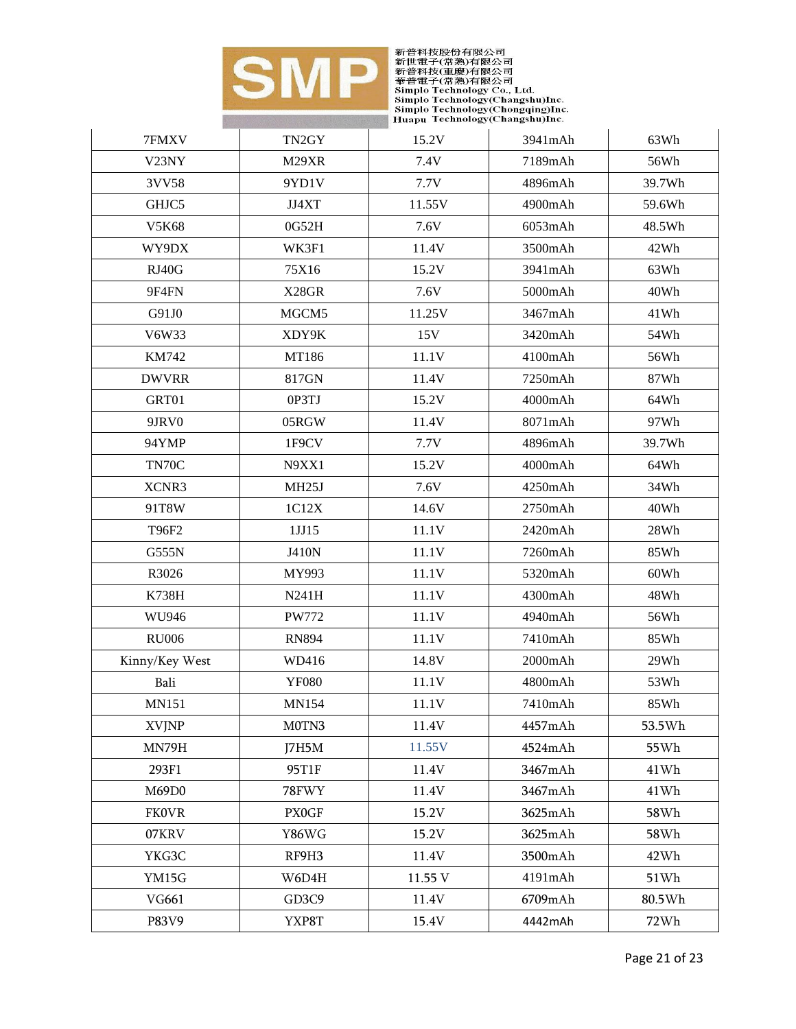

| 7FMXV              | TN <sub>2GY</sub>  | 15.2V   | 3941mAh | 63Wh   |
|--------------------|--------------------|---------|---------|--------|
| V <sub>23</sub> NY | M29XR              | 7.4V    | 7189mAh | 56Wh   |
| 3VV58              | 9YD1V              | 7.7V    | 4896mAh | 39.7Wh |
| GHJC5              | JJ4XT              | 11.55V  | 4900mAh | 59.6Wh |
| V5K68              | 0G52H              | 7.6V    | 6053mAh | 48.5Wh |
| WY9DX              | WK3F1              | 11.4V   | 3500mAh | 42Wh   |
| RJ40G              | 75X16              | 15.2V   | 3941mAh | 63Wh   |
| 9F4FN              | X28GR              | 7.6V    | 5000mAh | 40Wh   |
| G91J0              | MGCM5              | 11.25V  | 3467mAh | 41Wh   |
| V6W33              | XDY9K              | 15V     | 3420mAh | 54Wh   |
| KM742              | MT186              | 11.1V   | 4100mAh | 56Wh   |
| <b>DWVRR</b>       | 817GN              | 11.4V   | 7250mAh | 87Wh   |
| GRT01              | 0P3TJ              | 15.2V   | 4000mAh | 64Wh   |
| 9JRV0              | 05RGW              | 11.4V   | 8071mAh | 97Wh   |
| 94YMP              | 1F9CV              | 7.7V    | 4896mAh | 39.7Wh |
| TN70C              | N9XX1              | 15.2V   | 4000mAh | 64Wh   |
| XCNR3              | MH <sub>25</sub> J | 7.6V    | 4250mAh | 34Wh   |
| 91T8W              | 1C12X              | 14.6V   | 2750mAh | 40Wh   |
| T96F2              | 1JJ15              | 11.1V   | 2420mAh | 28Wh   |
| G555N              | J410N              | 11.1V   | 7260mAh | 85Wh   |
| R3026              | MY993              | 11.1V   | 5320mAh | 60Wh   |
| K738H              | N241H              | 11.1V   | 4300mAh | 48Wh   |
| WU946              | <b>PW772</b>       | 11.1V   | 4940mAh | 56Wh   |
| <b>RU006</b>       | <b>RN894</b>       | 11.1V   | 7410mAh | 85Wh   |
| Kinny/Key West     | WD416              | 14.8V   | 2000mAh | 29Wh   |
| Bali               | <b>YF080</b>       | 11.1V   | 4800mAh | 53Wh   |
| <b>MN151</b>       | <b>MN154</b>       | 11.1V   | 7410mAh | 85Wh   |
| <b>XVJNP</b>       | M0TN3              | 11.4V   | 4457mAh | 53.5Wh |
| MN79H              | J7H5M              | 11.55V  | 4524mAh | 55Wh   |
| 293F1              | 95T1F              | 11.4V   | 3467mAh | 41Wh   |
| M69D0              | 78FWY              | 11.4V   | 3467mAh | 41Wh   |
| <b>FK0VR</b>       | <b>PX0GF</b>       | 15.2V   | 3625mAh | 58Wh   |
| 07KRV              | Y86WG              | 15.2V   | 3625mAh | 58Wh   |
| YKG3C              | RF9H3              | 11.4V   | 3500mAh | 42Wh   |
| YM15G              | W6D4H              | 11.55 V | 4191mAh | 51Wh   |
| VG661              | GD3C9              | 11.4V   | 6709mAh | 80.5Wh |
| P83V9              | YXP8T              | 15.4V   | 4442mAh | 72Wh   |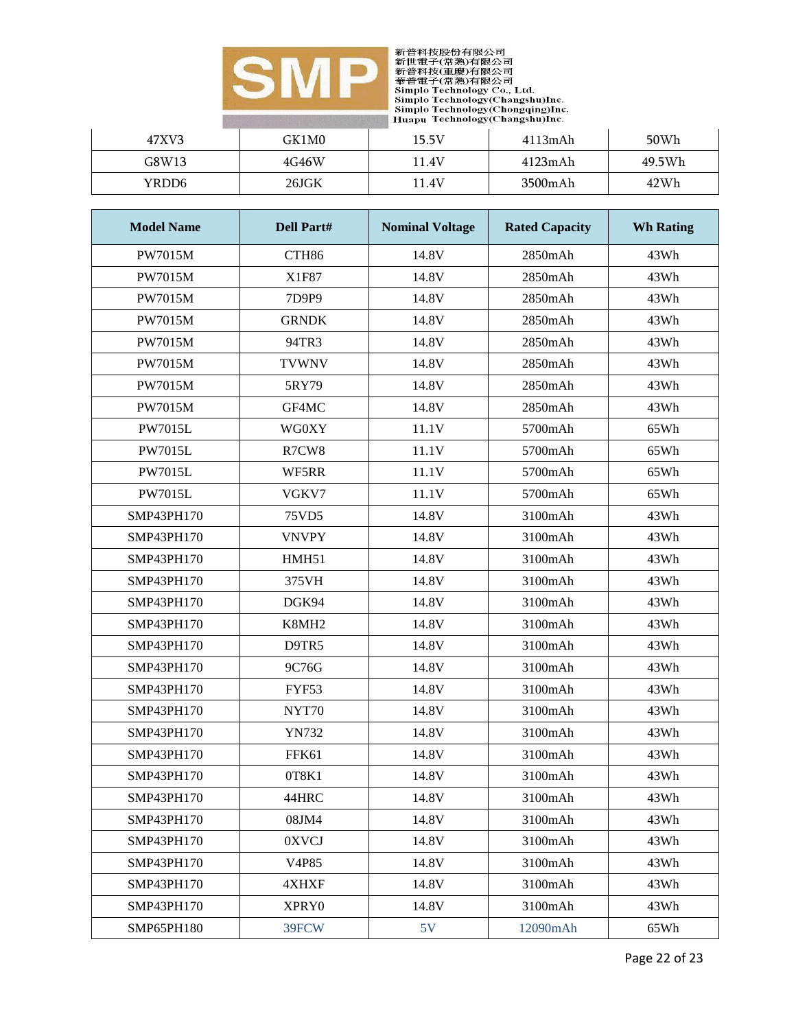

| 47XV3 | GK1M0 | 15.5V | $4113$ m $Ah$ | 50Wh   |
|-------|-------|-------|---------------|--------|
| G8W13 | 4G46W | 1.4V  | 4123m A h     | 49.5Wh |
| YRDD6 | 26JGK | .1.4V | 3500mAh       | 42Wh   |

| <b>Model Name</b> | <b>Dell Part#</b> | <b>Nominal Voltage</b> | <b>Rated Capacity</b> | <b>Wh Rating</b> |
|-------------------|-------------------|------------------------|-----------------------|------------------|
| PW7015M           | CTH86             | 14.8V                  | 2850mAh               | 43Wh             |
| <b>PW7015M</b>    | X1F87             | 14.8V                  | 2850mAh               | 43Wh             |
| <b>PW7015M</b>    | 7D9P9             | 14.8V                  | 2850mAh               | 43Wh             |
| <b>PW7015M</b>    | <b>GRNDK</b>      | 14.8V                  | 2850mAh               | 43Wh             |
| <b>PW7015M</b>    | 94TR3             | 14.8V                  | 2850mAh               | 43Wh             |
| <b>PW7015M</b>    | <b>TVWNV</b>      | 14.8V                  | 2850mAh               | 43Wh             |
| <b>PW7015M</b>    | 5RY79             | 14.8V                  | 2850mAh               | 43Wh             |
| <b>PW7015M</b>    | GF4MC             | 14.8V                  | 2850mAh               | 43Wh             |
| <b>PW7015L</b>    | <b>WG0XY</b>      | 11.1V                  | 5700mAh               | 65Wh             |
| <b>PW7015L</b>    | R7CW8             | 11.1V                  | 5700mAh               | 65Wh             |
| <b>PW7015L</b>    | WF5RR             | 11.1V                  | 5700mAh               | 65Wh             |
| <b>PW7015L</b>    | VGKV7             | 11.1V                  | 5700mAh               | 65Wh             |
| SMP43PH170        | 75VD5             | 14.8V                  | 3100mAh               | 43Wh             |
| SMP43PH170        | <b>VNVPY</b>      | 14.8V                  | 3100mAh               | 43Wh             |
| SMP43PH170        | HMH51             | 14.8V                  | 3100mAh               | 43Wh             |
| SMP43PH170        | 375VH             | 14.8V                  | 3100mAh               | 43Wh             |
| SMP43PH170        | DGK94             | 14.8V                  | 3100mAh               | 43Wh             |
| SMP43PH170        | K8MH2             | 14.8V                  | 3100mAh               | 43Wh             |
| SMP43PH170        | D9TR5             | 14.8V                  | 3100mAh               | 43Wh             |
| SMP43PH170        | 9C76G             | 14.8V                  | 3100mAh               | 43Wh             |
| SMP43PH170        | FYF53             | 14.8V                  | 3100mAh               | 43Wh             |
| SMP43PH170        | NYT70             | 14.8V                  | 3100mAh               | 43Wh             |
| SMP43PH170        | <b>YN732</b>      | 14.8V                  | 3100mAh               | 43Wh             |
| SMP43PH170        | FFK61             | 14.8V                  | 3100mAh               | 43Wh             |
| SMP43PH170        | 0T8K1             | 14.8V                  | 3100mAh               | 43Wh             |
| SMP43PH170        | 44HRC             | 14.8V                  | 3100mAh               | 43Wh             |
| SMP43PH170        | 08JM4             | 14.8V                  | 3100mAh               | 43Wh             |
| SMP43PH170        | 0XVCJ             | 14.8V                  | 3100mAh               | 43Wh             |
| SMP43PH170        | V4P85             | 14.8V                  | 3100mAh               | 43Wh             |
| SMP43PH170        | 4XHXF             | 14.8V                  | 3100mAh               | 43Wh             |
| SMP43PH170        | XPRY0             | 14.8V                  | 3100mAh               | 43Wh             |
| SMP65PH180        | 39FCW             | 5V                     | 12090mAh              | 65Wh             |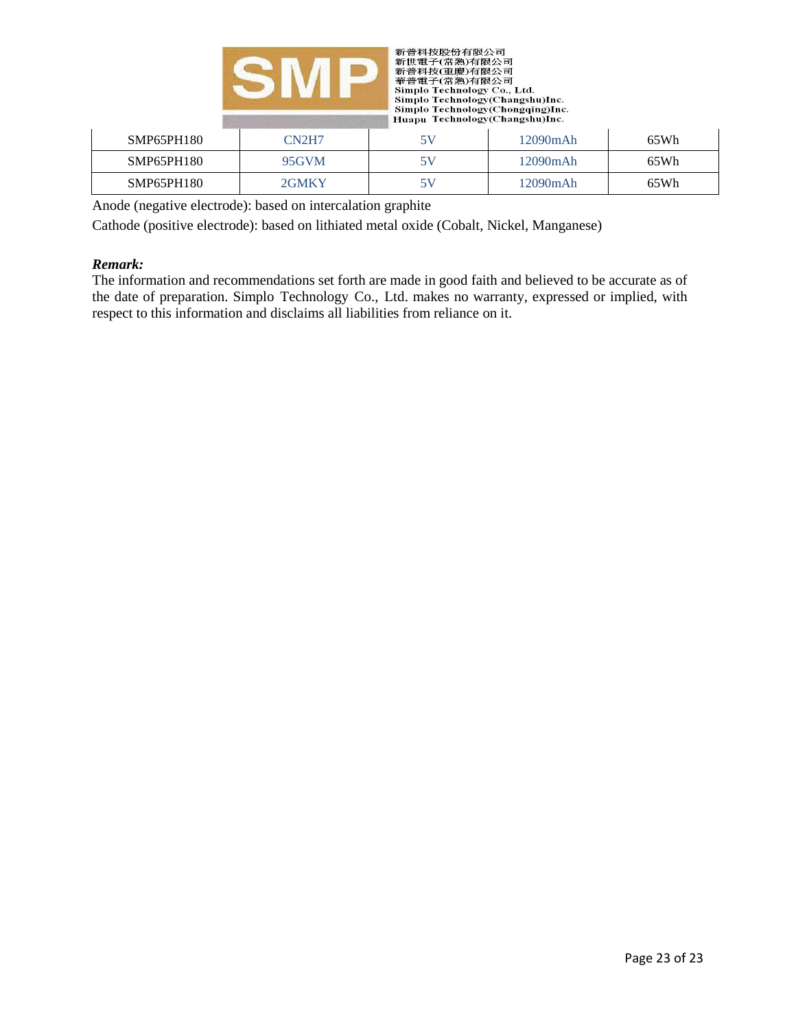



| SMP65PH180 | CN2H7 | 5V | 12090mAh | 65Wh |
|------------|-------|----|----------|------|
| SMP65PH180 | 95GVM | 5V | 12090mAh | 65Wh |
| SMP65PH180 | 2GMKY | 5V | 12090mAh | 65Wh |

Anode (negative electrode): based on intercalation graphite

Cathode (positive electrode): based on lithiated metal oxide (Cobalt, Nickel, Manganese)

#### *Remark:*

The information and recommendations set forth are made in good faith and believed to be accurate as of the date of preparation. Simplo Technology Co., Ltd. makes no warranty, expressed or implied, with respect to this information and disclaims all liabilities from reliance on it.